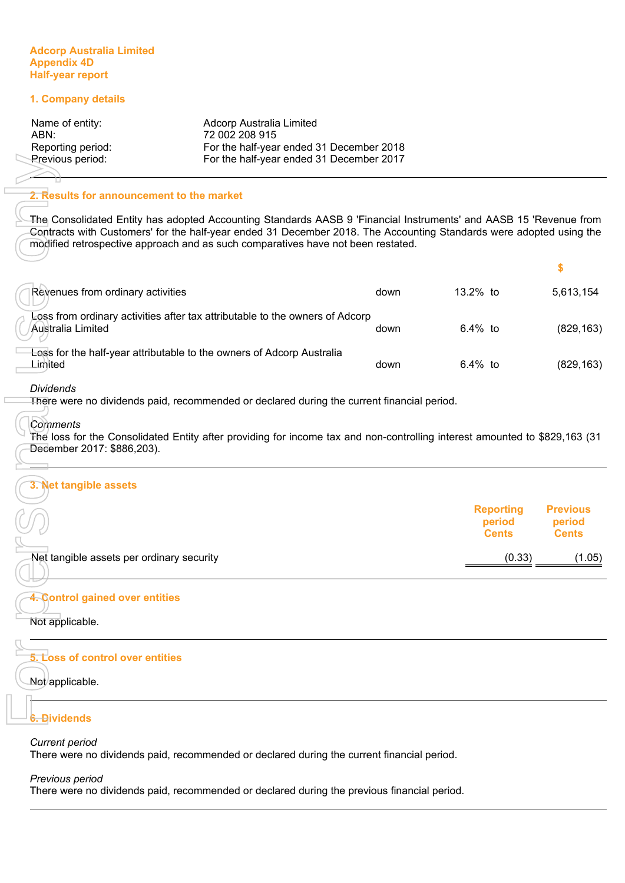#### **Adcorp Australia Limited Appendix 4D Half-year report**

## **1. Company details**

| Name of entity:   | Adcorp Australia Limited                 |
|-------------------|------------------------------------------|
| ABN:              | 72 002 208 915                           |
| Reporting period: | For the half-year ended 31 December 2018 |
| Previous period:  | For the half-year ended 31 December 2017 |
|                   |                                          |

#### **2. Results for announcement to the market**

| Previous period:                          | For the half-year ended 31 December 2017                                                                                                                                                                                                                                                                                     |      |                                            |                                           |
|-------------------------------------------|------------------------------------------------------------------------------------------------------------------------------------------------------------------------------------------------------------------------------------------------------------------------------------------------------------------------------|------|--------------------------------------------|-------------------------------------------|
| 2. Results for announcement to the market |                                                                                                                                                                                                                                                                                                                              |      |                                            |                                           |
|                                           | The Consolidated Entity has adopted Accounting Standards AASB 9 'Financial Instruments' and AASB 15 'Revenue from<br>Contracts with Customers' for the half-year ended 31 December 2018. The Accounting Standards were adopted using the<br>modified retrospective approach and as such comparatives have not been restated. |      |                                            |                                           |
|                                           |                                                                                                                                                                                                                                                                                                                              |      |                                            | \$                                        |
| Revenues from ordinary activities         |                                                                                                                                                                                                                                                                                                                              | down | 13.2% to                                   | 5,613,154                                 |
| Australia Limited                         | Loss from ordinary activities after tax attributable to the owners of Adcorp                                                                                                                                                                                                                                                 | down | 6.4% to                                    | (829, 163)                                |
| Lirhited                                  | Loss for the half-year attributable to the owners of Adcorp Australia                                                                                                                                                                                                                                                        | down | 6.4% to                                    | (829, 163)                                |
| <b>Dividends</b>                          | There were no dividends paid, recommended or declared during the current financial period.                                                                                                                                                                                                                                   |      |                                            |                                           |
| Comments<br>December 2017: \$886,203).    | The loss for the Consolidated Entity after providing for income tax and non-controlling interest amounted to \$829,163 (31                                                                                                                                                                                                   |      |                                            |                                           |
| 3. Net tangible assets                    |                                                                                                                                                                                                                                                                                                                              |      |                                            |                                           |
|                                           |                                                                                                                                                                                                                                                                                                                              |      | <b>Reporting</b><br>period<br><b>Cents</b> | <b>Previous</b><br>period<br><b>Cents</b> |
| Net tangible assets per ordinary security |                                                                                                                                                                                                                                                                                                                              |      | (0.33)                                     | (1.05)                                    |
| 4. Control gained over entities           |                                                                                                                                                                                                                                                                                                                              |      |                                            |                                           |
| Not applicable.                           |                                                                                                                                                                                                                                                                                                                              |      |                                            |                                           |
| 5. Loss of control over entities          |                                                                                                                                                                                                                                                                                                                              |      |                                            |                                           |
| Not applicable.                           |                                                                                                                                                                                                                                                                                                                              |      |                                            |                                           |
| 6. Dividends                              |                                                                                                                                                                                                                                                                                                                              |      |                                            |                                           |
| <b>Current period</b>                     | There were no dividends paid, recommended or declared during the current financial period.                                                                                                                                                                                                                                   |      |                                            |                                           |
| Previous period                           |                                                                                                                                                                                                                                                                                                                              |      |                                            |                                           |
|                                           | There were no dividends paid, recommended or declared during the previous financial period.                                                                                                                                                                                                                                  |      |                                            |                                           |

#### *Dividends*

#### *Comments*

#### **3. Net tangible assets**

|                                            | Reporting<br>period<br><b>Cents</b> | <b>Previous</b><br>period<br><b>Cents</b> |
|--------------------------------------------|-------------------------------------|-------------------------------------------|
| -Net tangible assets per ordinary security | (0.33)                              | (0.05)                                    |

# **4. Control gained over entities**

# **5. Loss of control over entities**

# **6. Dividends**

# *Current period*

## *Previous period*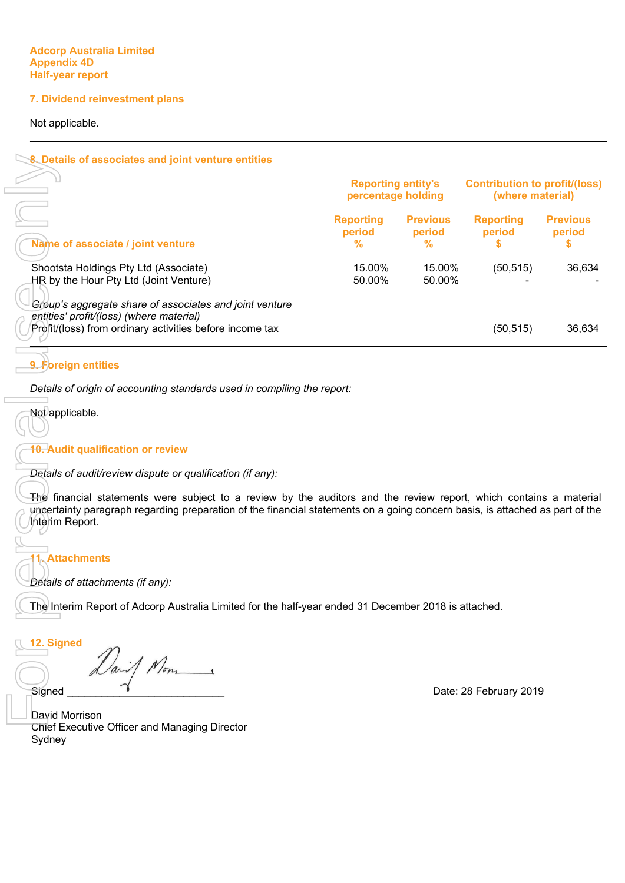## **7. Dividend reinvestment plans**

Not applicable.

 $\Box$ 

| 8. Details of associates and joint venture entities                                                                                                                                                                                                                   |                                 |                                                 |                                 |                                                          |
|-----------------------------------------------------------------------------------------------------------------------------------------------------------------------------------------------------------------------------------------------------------------------|---------------------------------|-------------------------------------------------|---------------------------------|----------------------------------------------------------|
|                                                                                                                                                                                                                                                                       |                                 | <b>Reporting entity's</b><br>percentage holding |                                 | <b>Contribution to profit/(loss)</b><br>(where material) |
| Name of associate / joint venture                                                                                                                                                                                                                                     | <b>Reporting</b><br>period<br>℅ | <b>Previous</b><br>period<br>%                  | <b>Reporting</b><br>period<br>S | <b>Previous</b><br>period<br>\$                          |
| Shootsta Holdings Pty Ltd (Associate)<br>HR by the Hour Pty Ltd (Joint Venture)                                                                                                                                                                                       | 15.00%<br>50.00%                | 15.00%<br>50.00%                                | (50, 515)                       | 36,634                                                   |
| Group's aggregate share of associates and joint venture<br>entities' profit/(loss) (where material)                                                                                                                                                                   |                                 |                                                 |                                 |                                                          |
| Profit/(loss) from ordinary activities before income tax                                                                                                                                                                                                              |                                 |                                                 | (50, 515)                       | 36,634                                                   |
| 9. Foreign entities                                                                                                                                                                                                                                                   |                                 |                                                 |                                 |                                                          |
| Details of origin of accounting standards used in compiling the report:                                                                                                                                                                                               |                                 |                                                 |                                 |                                                          |
| Not applicable.                                                                                                                                                                                                                                                       |                                 |                                                 |                                 |                                                          |
| 10. Audit qualification or review                                                                                                                                                                                                                                     |                                 |                                                 |                                 |                                                          |
| Details of audit/review dispute or qualification (if any):                                                                                                                                                                                                            |                                 |                                                 |                                 |                                                          |
| The financial statements were subject to a review by the auditors and the review report, which contains a material<br>uncertainty paragraph regarding preparation of the financial statements on a going concern basis, is attached as part of the<br>Interim Report. |                                 |                                                 |                                 |                                                          |
| 1. Attachments                                                                                                                                                                                                                                                        |                                 |                                                 |                                 |                                                          |
| Details of attachments (if any):                                                                                                                                                                                                                                      |                                 |                                                 |                                 |                                                          |
| The Interim Report of Adcorp Australia Limited for the half-year ended 31 December 2018 is attached.                                                                                                                                                                  |                                 |                                                 |                                 |                                                          |
| 2. Signed                                                                                                                                                                                                                                                             |                                 |                                                 |                                 |                                                          |
| Signed                                                                                                                                                                                                                                                                |                                 |                                                 | Date: 28 February 2019          |                                                          |
| David Morrison                                                                                                                                                                                                                                                        |                                 |                                                 |                                 |                                                          |
| <b>Chief Executive Officer and Managing Director</b>                                                                                                                                                                                                                  |                                 |                                                 |                                 |                                                          |
| Sydney                                                                                                                                                                                                                                                                |                                 |                                                 |                                 |                                                          |

# **9. Foreign entities**

# **10. Audit qualification or review**

# **11. Attachments**

**12. Signed**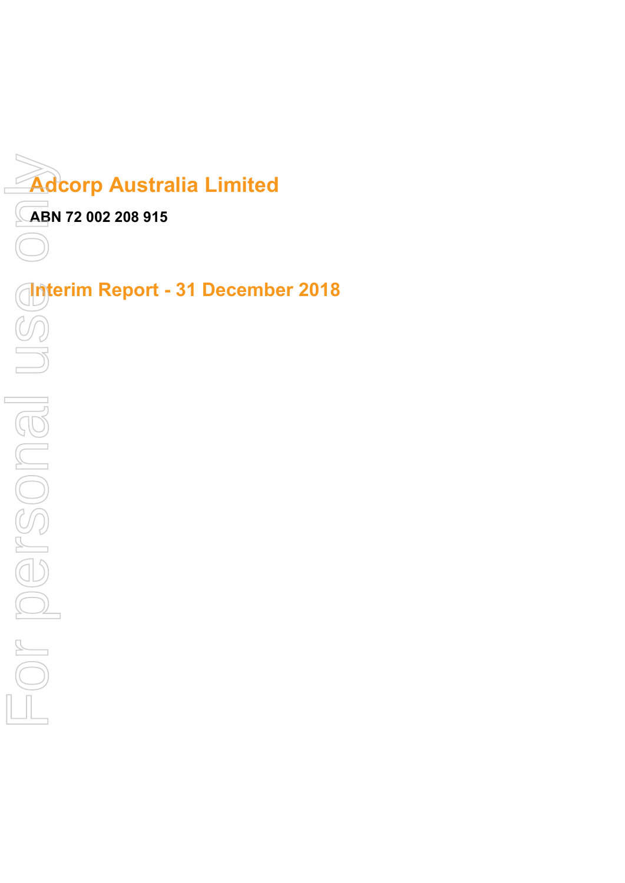

**ABN 72 002 208 915**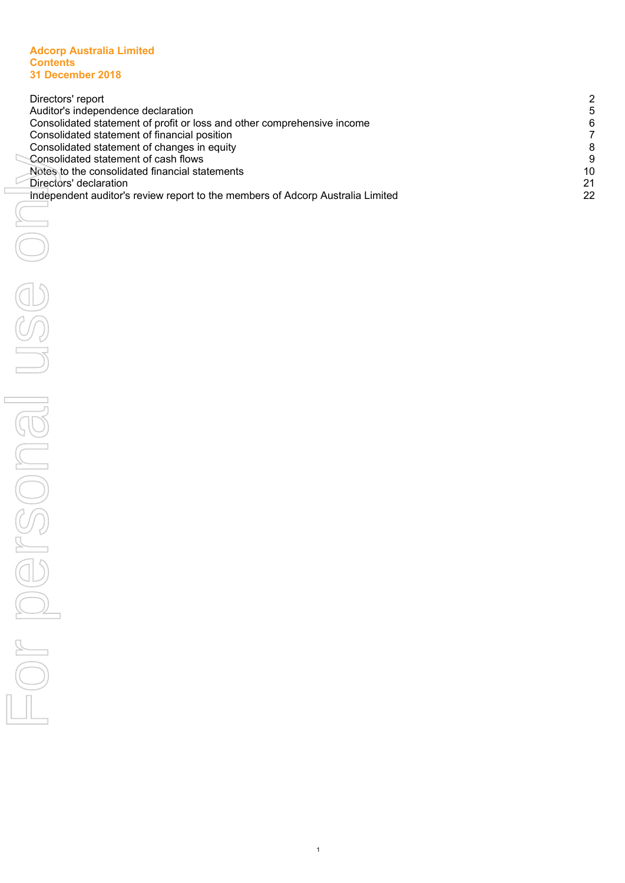#### **Adcorp Australia Limited Contents 31 December 2018**

| Directors' report                                                              | 2  |
|--------------------------------------------------------------------------------|----|
| Auditor's independence declaration                                             |    |
| Consolidated statement of profit or loss and other comprehensive income        | 6  |
| Consolidated statement of financial position                                   |    |
| Consolidated statement of changes in equity                                    | 8  |
| Consolidated statement of cash flows                                           | 9  |
| Notes to the consolidated financial statements                                 | 10 |
| Directors' declaration                                                         | 21 |
| Independent auditor's review report to the members of Adcorp Australia Limited | 22 |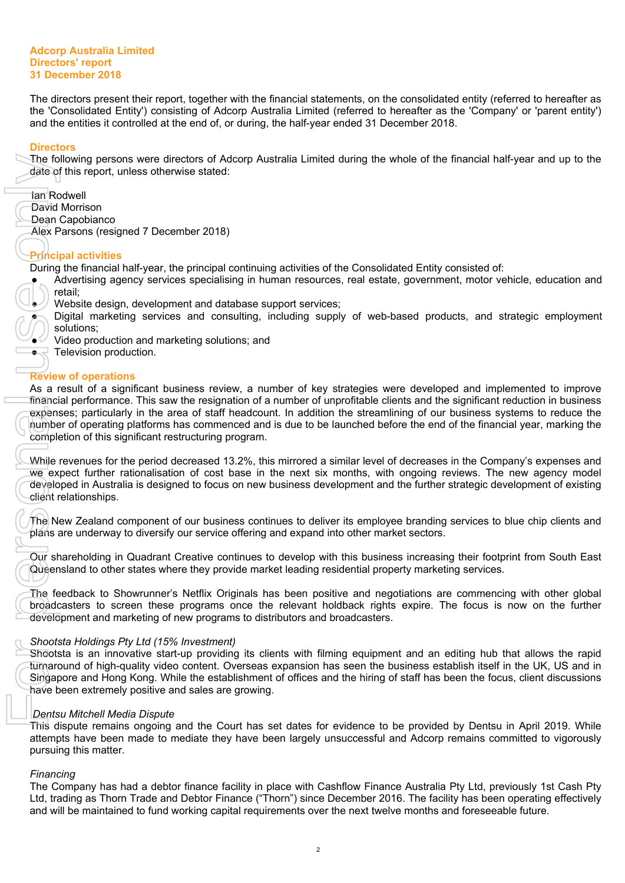#### **Adcorp Australia Limited Directors' report 31 December 2018**

<span id="page-4-0"></span>The directors present their report, together with the financial statements, on the consolidated entity (referred to hereafter as the 'Consolidated Entity') consisting of Adcorp Australia Limited (referred to hereafter as the 'Company' or 'parent entity') and the entities it controlled at the end of, or during, the half-year ended 31 December 2018.

## **Directors**

The following persons were directors of Adcorp Australia Limited during the whole of the financial half-year and up to the date of this report, unless otherwise stated:

Ian Rodwell

- David Morrison
- Dean Capobianco

Alex Parsons (resigned 7 December 2018)

# **Principal activities**

During the financial half-year, the principal continuing activities of the Consolidated Entity consisted of:

- Advertising agency services specialising in human resources, real estate, government, motor vehicle, education and retail;
	- Website design, development and database support services;
	- Digital marketing services and consulting, including supply of web-based products, and strategic employment solutions;
	- Video production and marketing solutions; and
- Television production.

# **Review of operations**

As a result of a significant business review, a number of key strategies were developed and implemented to improve financial performance. This saw the resignation of a number of unprofitable clients and the significant reduction in business expenses; particularly in the area of staff headcount. In addition the streamlining of our business systems to reduce the number of operating platforms has commenced and is due to be launched before the end of the financial year, marking the completion of this significant restructuring program. The following persons were directed to fund will be maintain the main of the fund working capital requirements of the next twelve months and hold working capital requirements of the next twelve months and foresee ables to

While revenues for the period decreased 13.2%, this mirrored a similar level of decreases in the Company's expenses and we expect further rationalisation of cost base in the next six months, with ongoing reviews. The new agency model developed in Australia is designed to focus on new business development and the further strategic development of existing client relationships.

The New Zealand component of our business continues to deliver its employee branding services to blue chip clients and plans are underway to diversify our service offering and expand into other market sectors.

Our shareholding in Quadrant Creative continues to develop with this business increasing their footprint from South East Queensland to other states where they provide market leading residential property marketing services.

The feedback to Showrunner's Netflix Originals has been positive and negotiations are commencing with other global broadcasters to screen these programs once the relevant holdback rights expire. The focus is now on the further development and marketing of new programs to distributors and broadcasters.

# *Shootsta Holdings Pty Ltd (15% Investment)*

Shootsta is an innovative start-up providing its clients with filming equipment and an editing hub that allows the rapid turnaround of high-quality video content. Overseas expansion has seen the business establish itself in the UK, US and in Singapore and Hong Kong. While the establishment of offices and the hiring of staff has been the focus, client discussions have been extremely positive and sales are growing.

# *Dentsu Mitchell Media Dispute*

This dispute remains ongoing and the Court has set dates for evidence to be provided by Dentsu in April 2019. While attempts have been made to mediate they have been largely unsuccessful and Adcorp remains committed to vigorously pursuing this matter.

# *Financing*

The Company has had a debtor finance facility in place with Cashflow Finance Australia Pty Ltd, previously 1st Cash Pty Ltd, trading as Thorn Trade and Debtor Finance ("Thorn") since December 2016. The facility has been operating effectively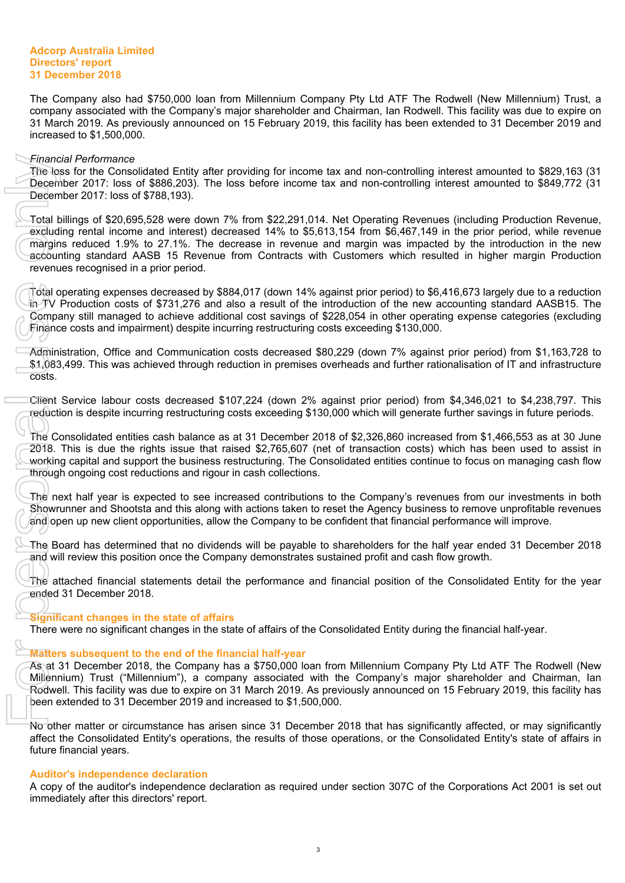The Company also had \$750,000 loan from Millennium Company Pty Ltd ATF The Rodwell (New Millennium) Trust, a company associated with the Company's major shareholder and Chairman, Ian Rodwell. This facility was due to expire on 31 March 2019. As previously announced on 15 February 2019, this facility has been extended to 31 December 2019 and increased to \$1,500,000.

#### *Financial Performance*

The loss for the Consolidated Entity after providing for income tax and non-controlling interest amounted to \$829,163 (31 December 2017: loss of \$886,203). The loss before income tax and non-controlling interest amounted to \$849,772 (31 December 2017: loss of \$788,193).

Total billings of \$20,695,528 were down 7% from \$22,291,014. Net Operating Revenues (including Production Revenue, excluding rental income and interest) decreased 14% to \$5,613,154 from \$6,467,149 in the prior period, while revenue margins reduced 1.9% to 27.1%. The decrease in revenue and margin was impacted by the introduction in the new accounting standard AASB 15 Revenue from Contracts with Customers which resulted in higher margin Production revenues recognised in a prior period. Financial Performance<br>
The loss for the Consolidated Entity<br>
December 2017: loss of \$886,203). December 2017: loss of \$788,193).<br>
Total billings of \$20,695,528 were downduing rentained AASB 15 (width)<br>
margins reduced 1.9

Total operating expenses decreased by \$884,017 (down 14% against prior period) to \$6,416,673 largely due to a reduction in TV Production costs of \$731,276 and also a result of the introduction of the new accounting standard AASB15. The Company still managed to achieve additional cost savings of \$228,054 in other operating expense categories (excluding Finance costs and impairment) despite incurring restructuring costs exceeding \$130,000.

Administration, Office and Communication costs decreased \$80,229 (down 7% against prior period) from \$1,163,728 to \$1,083,499. This was achieved through reduction in premises overheads and further rationalisation of IT and infrastructure costs.

Client Service labour costs decreased \$107,224 (down 2% against prior period) from \$4,346,021 to \$4,238,797. This reduction is despite incurring restructuring costs exceeding \$130,000 which will generate further savings in future periods.

The Consolidated entities cash balance as at 31 December 2018 of \$2,326,860 increased from \$1,466,553 as at 30 June 2018. This is due the rights issue that raised \$2,765,607 (net of transaction costs) which has been used to assist in working capital and support the business restructuring. The Consolidated entities continue to focus on managing cash flow through ongoing cost reductions and rigour in cash collections.

The next half year is expected to see increased contributions to the Company's revenues from our investments in both Showrunner and Shootsta and this along with actions taken to reset the Agency business to remove unprofitable revenues and open up new client opportunities, allow the Company to be confident that financial performance will improve.

The Board has determined that no dividends will be payable to shareholders for the half year ended 31 December 2018 and will review this position once the Company demonstrates sustained profit and cash flow growth.

The attached financial statements detail the performance and financial position of the Consolidated Entity for the year ended 31 December 2018.

#### **Significant changes in the state of affairs**

There were no significant changes in the state of affairs of the Consolidated Entity during the financial half-year.

#### **Matters subsequent to the end of the financial half-year**

As at 31 December 2018, the Company has a \$750,000 loan from Millennium Company Pty Ltd ATF The Rodwell (New Millennium) Trust ("Millennium"), a company associated with the Company's major shareholder and Chairman, Ian Rodwell. This facility was due to expire on 31 March 2019. As previously announced on 15 February 2019, this facility has been extended to 31 December 2019 and increased to \$1,500,000.

No other matter or circumstance has arisen since 31 December 2018 that has significantly affected, or may significantly affect the Consolidated Entity's operations, the results of those operations, or the Consolidated Entity's state of affairs in future financial years.

#### **Auditor's independence declaration**

A copy of the auditor's independence declaration as required under section 307C of the Corporations Act 2001 is set out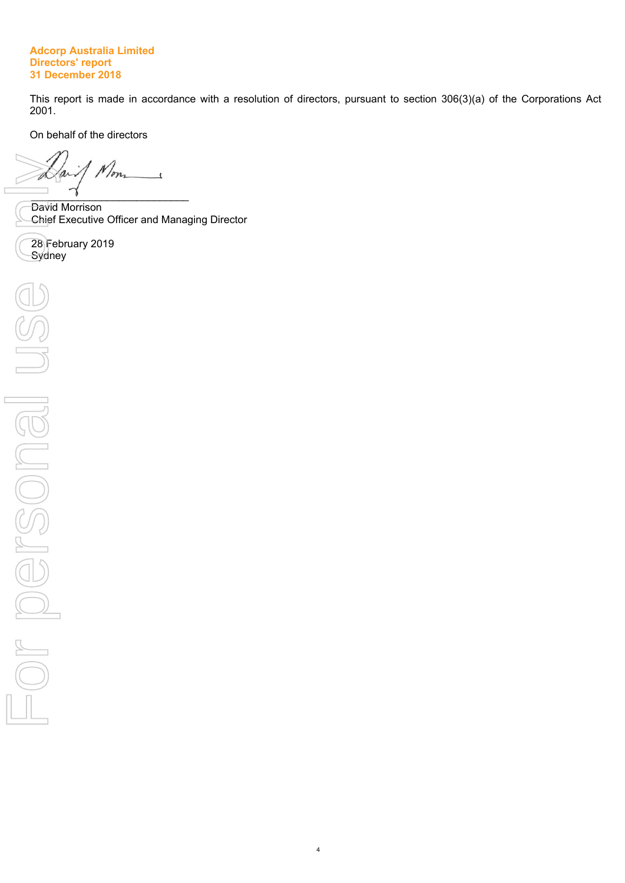#### **Adcorp Australia Limited Directors' report 31 December 2018**

This report is made in accordance with a resolution of directors, pursuant to section 306(3)(a) of the Corporations Act 2001.

On behalf of the directors

1 Mon  $\overline{\phantom{a}}$ Da  $\overline{\phantom{a}}$ 

David Morrison Chief Executive Officer and Managing Director

28 February 2019<br>Sydney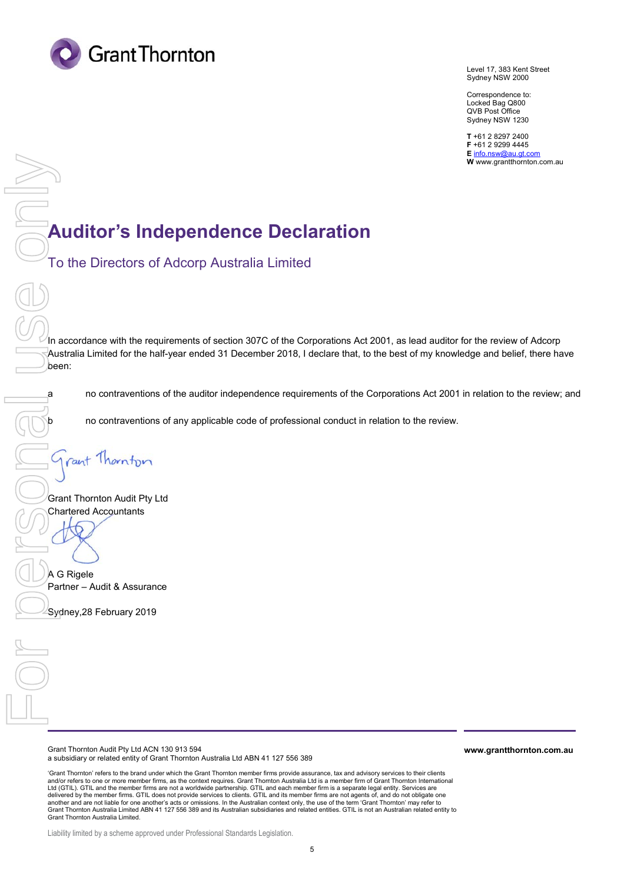

Level 17, 383 Kent Street Sydney NSW 2000

Correspondence to: Locked Bag Q800 QVB Post Office Sydney NSW 1230

**T** +61 2 8297 2400 **F** +61 2 9299 4445 **E** info.nsw@au.gt.com **W** www.grantthornton.com.au

# **Auditor's Independence Declaration**

To the Directors of Adcorp Australia Limited

In accordance with the requirements of section 307C of the Corporations Act 2001, as lead auditor for the review of Adcorp Australia Limited for the half-year ended 31 December 2018, I declare that, to the best of my knowledge and belief, there have been: **Suditor's Inc**<br>To the Directors of<br>The maccordance with the req<br>Australia Limited for the ha<br>Deen:<br>a no contraventions<br>no contraventions<br>on contraventions<br>Charactered Accountants<br>Charactered Accountants<br> $\bigodot$  a G Rigele<br>

a no contraventions of the auditor independence requirements of the Corporations Act 2001 in relation to the review; and

b no contraventions of any applicable code of professional conduct in relation to the review.

Grant Thornton Audit Pty Ltd Chartered Accountants

A G Rigele Partner – Audit & Assurance

Grant Thornton Audit Pty Ltd ACN 130 913 594 a subsidiary or related entity of Grant Thornton Australia Ltd ABN 41 127 556 389 **www.grantthornton.com.au**

'Grant Thornton' refers to the brand under which the Grant Thornton member firms provide assurance, tax and advisory services to their clients and/or refers to one or more member firms, as the context requires. Grant Thornton Australia Ltd is a member firm of Grant Thornton International Ltd (GTIL). GTIL and the member firms are not a worldwide partnership. GTIL and each member firm is a separate legal entity. Services are delivered by the member firms. GTIL does not provide services to clients. GTIL and its member firms are not agents of, and do not obligate one another and are not liable for one another's acts or omissions. In the Australian context only, the use of the term 'Grant Thornton' may refer to<br>Grant Thornton Australia Limited ABN 41 127 556 389 and its Australian subsi Grant Thornton Australia Limited.

Liability limited by a scheme approved under Professional Standards Legislation.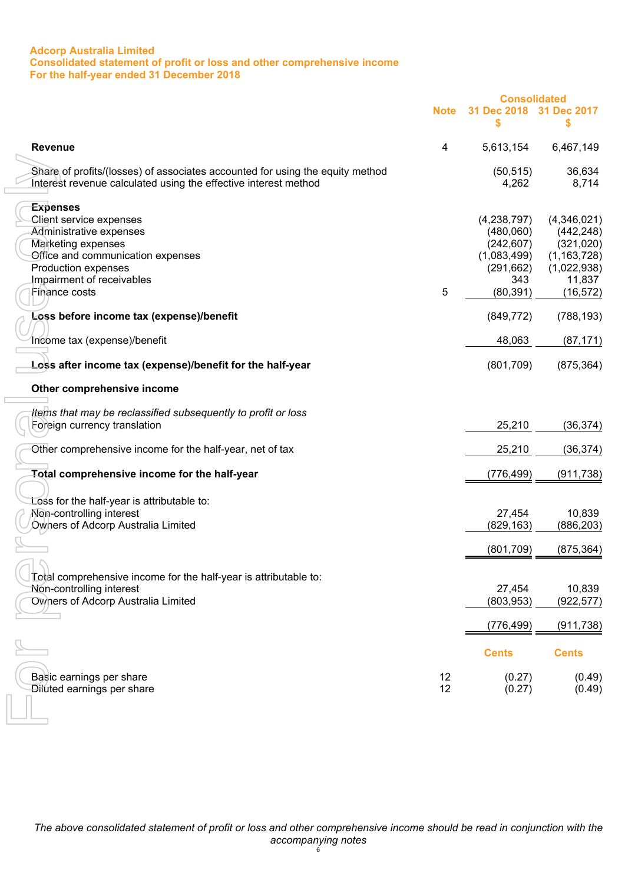## **Adcorp Australia Limited Consolidated statement of profit or loss and other comprehensive income For the half-year ended 31 December 2018**

<span id="page-8-0"></span>

|                                                                                                                                                  |             | <b>Consolidated</b> |                       |
|--------------------------------------------------------------------------------------------------------------------------------------------------|-------------|---------------------|-----------------------|
|                                                                                                                                                  | <b>Note</b> | 31 Dec 2018<br>\$   | 31 Dec 2017<br>\$     |
| <b>Revenue</b>                                                                                                                                   | 4           | 5,613,154           | 6,467,149             |
| Share of profits/(losses) of associates accounted for using the equity method<br>Interest revenue calculated using the effective interest method |             | (50, 515)<br>4,262  | 36,634<br>8,714       |
| <b>Expenses</b>                                                                                                                                  |             |                     |                       |
| Client service expenses                                                                                                                          |             | (4,238,797)         | (4,346,021)           |
| Administrative expenses                                                                                                                          |             | (480,060)           | (442, 248)            |
| <b>Marketing expenses</b>                                                                                                                        |             | (242, 607)          | (321, 020)            |
| Office and communication expenses                                                                                                                |             | (1,083,499)         | (1, 163, 728)         |
| Production expenses<br>Impairment of receivables                                                                                                 |             | (291, 662)<br>343   | (1,022,938)<br>11,837 |
| Finance costs                                                                                                                                    | 5           | (80, 391)           | (16, 572)             |
|                                                                                                                                                  |             |                     |                       |
| Loss before income tax (expense)/benefit                                                                                                         |             | (849, 772)          | (788, 193)            |
| Income tax (expense)/benefit                                                                                                                     |             | 48,063              | (87, 171)             |
| Loss after income tax (expense)/benefit for the half-year                                                                                        |             | (801, 709)          | (875, 364)            |
| Other comprehensive income                                                                                                                       |             |                     |                       |
| tiems that may be reclassified subsequently to profit or loss                                                                                    |             |                     |                       |
| Foreign currency translation                                                                                                                     |             | 25,210              | (36, 374)             |
|                                                                                                                                                  |             |                     |                       |
| Other comprehensive income for the half-year, net of tax                                                                                         |             | 25,210              | (36, 374)             |
| Total comprehensive income for the half-year                                                                                                     |             | (776,499)           | (911, 738)            |
|                                                                                                                                                  |             |                     |                       |
| Loss for the half-year is attributable to:<br>Non-controlling interest                                                                           |             | 27,454              | 10,839                |
| Owners of Adcorp Australia Limited                                                                                                               |             | (829, 163)          | (886, 203)            |
|                                                                                                                                                  |             |                     |                       |
|                                                                                                                                                  |             | (801, 709)          | (875, 364)            |
|                                                                                                                                                  |             |                     |                       |
| Total comprehensive income for the half-year is attributable to:                                                                                 |             |                     |                       |
| Non-controlling interest                                                                                                                         |             | 27,454              | 10,839                |
| <b>Owners of Adcorp Australia Limited</b>                                                                                                        |             | (803, 953)          | (922, 577)            |
|                                                                                                                                                  |             | (776, 499)          | (911, 738)            |
|                                                                                                                                                  |             | <b>Cents</b>        | <b>Cents</b>          |
|                                                                                                                                                  |             |                     |                       |
| Basic earnings per share                                                                                                                         | 12          | (0.27)              | (0.49)                |
| <b>Diluted earnings per share</b>                                                                                                                | 12          | (0.27)              | (0.49)                |
|                                                                                                                                                  |             |                     |                       |
|                                                                                                                                                  |             |                     |                       |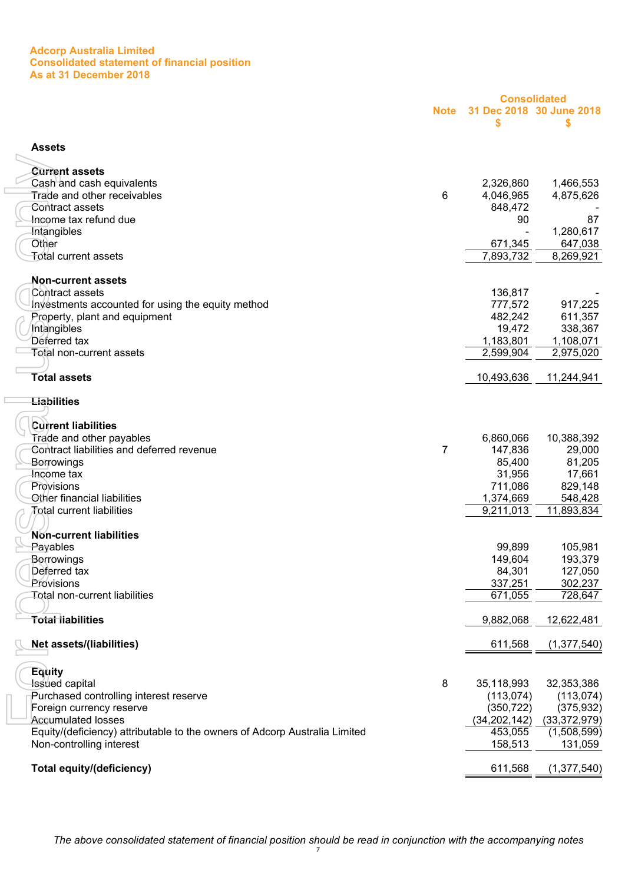#### **Adcorp Australia Limited Consolidated statement of financial position As at 31 December 2018**

<span id="page-9-0"></span>

|                                                                            |             |                | <b>Consolidated</b>            |
|----------------------------------------------------------------------------|-------------|----------------|--------------------------------|
|                                                                            | <b>Note</b> | \$             | 31 Dec 2018 30 June 2018<br>\$ |
| <b>Assets</b>                                                              |             |                |                                |
| <b>Current assets</b>                                                      |             |                |                                |
| Cash and cash equivalents                                                  |             | 2,326,860      | 1,466,553                      |
| Trade and other receivables                                                | 6           | 4,046,965      | 4,875,626                      |
| Contract assets                                                            |             | 848,472        |                                |
| Income tax refund due                                                      |             | 90             | 87                             |
| <b>Intangibles</b>                                                         |             |                | 1,280,617                      |
| Other                                                                      |             | 671,345        | 647,038                        |
| <b>Total current assets</b>                                                |             | 7,893,732      | 8,269,921                      |
| <b>Non-current assets</b>                                                  |             |                |                                |
| Contract assets                                                            |             | 136,817        |                                |
| Investments accounted for using the equity method                          |             | 777,572        | 917,225                        |
| Property, plant and equipment                                              |             | 482,242        | 611,357                        |
| Intangibles                                                                |             | 19,472         | 338,367                        |
| Deferred tax                                                               |             | 1,183,801      | 1,108,071                      |
| <b>Total non-current assets</b>                                            |             | 2,599,904      | 2,975,020                      |
| <b>Total assets</b>                                                        |             | 10,493,636     | 11,244,941                     |
| <b>Liabilities</b>                                                         |             |                |                                |
|                                                                            |             |                |                                |
| <b>Current liabilities</b>                                                 |             |                |                                |
| Trade and other payables                                                   |             | 6,860,066      | 10,388,392                     |
| Contract liabilities and deferred revenue                                  | 7           | 147,836        | 29,000                         |
| Borrowings                                                                 |             | 85,400         | 81,205                         |
| Income tax                                                                 |             | 31,956         | 17,661                         |
| Provisions                                                                 |             | 711,086        | 829,148                        |
| Other financial liabilities                                                |             | 1,374,669      | 548,428                        |
| Total current liabilities                                                  |             | 9,211,013      | 11,893,834                     |
|                                                                            |             |                |                                |
| Non-current liabilities                                                    |             |                |                                |
| Payables                                                                   |             | 99,899         | 105,981                        |
| Berrowings                                                                 |             | 149,604        | 193,379                        |
| Deferred tax                                                               |             | 84,301         | 127,050                        |
| Provisions                                                                 |             | 337,251        | 302,237                        |
| Total non-current liabilities                                              |             | 671,055        | 728,647                        |
| <b>Total liabilities</b>                                                   |             | 9,882,068      | 12,622,481                     |
|                                                                            |             |                |                                |
| <b>Net assets/(liabilities)</b>                                            |             | 611,568        | (1, 377, 540)                  |
| Equity                                                                     |             |                |                                |
| Isśued capital                                                             | 8           | 35,118,993     | 32,353,386                     |
| Purchased controlling interest reserve                                     |             | (113, 074)     | (113, 074)                     |
| Foreign currency reserve                                                   |             | (350, 722)     | (375, 932)                     |
| <b>Accumulated losses</b>                                                  |             | (34, 202, 142) | (33, 372, 979)                 |
| Equity/(deficiency) attributable to the owners of Adcorp Australia Limited |             | 453,055        | (1,508,599)                    |
| Non-controlling interest                                                   |             | 158,513        | 131,059                        |
| <b>Total equity/(deficiency)</b>                                           |             | 611,568        | (1, 377, 540)                  |
|                                                                            |             |                |                                |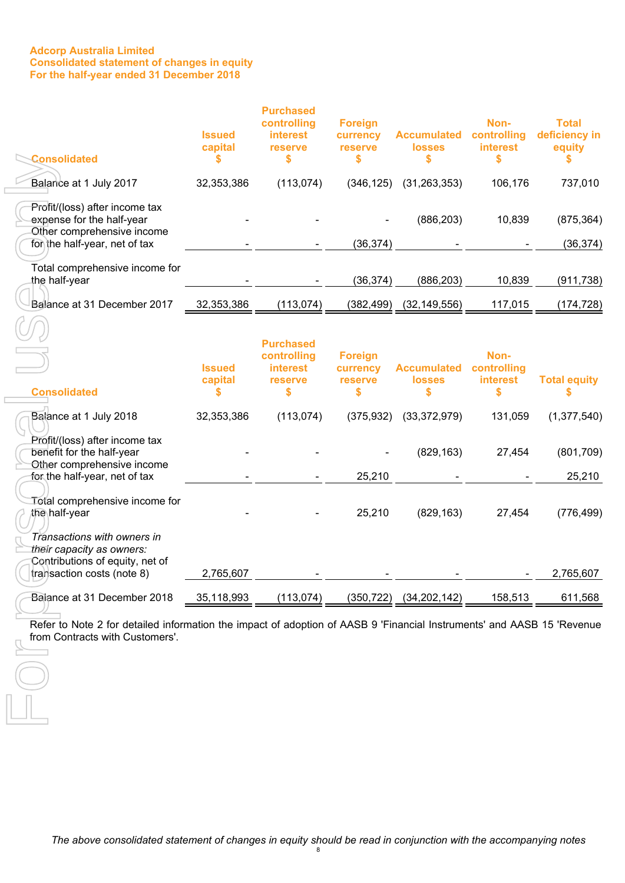#### **Adcorp Australia Limited Consolidated statement of changes in equity For the half-year ended 31 December 2018**

<span id="page-10-0"></span>

| <b>Consolidated</b>                                                                                                                                       | <b>Issued</b><br>capital | <b>Purchased</b><br>controlling<br><b>interest</b><br>reserve<br>\$ | <b>Foreign</b><br>currency<br>reserve<br>\$ | <b>Accumulated</b><br><b>losses</b><br>\$ | Non-<br>controlling<br><b>interest</b><br>\$ | <b>Total</b><br>deficiency in<br>equity |
|-----------------------------------------------------------------------------------------------------------------------------------------------------------|--------------------------|---------------------------------------------------------------------|---------------------------------------------|-------------------------------------------|----------------------------------------------|-----------------------------------------|
| Balance at 1 July 2017                                                                                                                                    | 32,353,386               | (113, 074)                                                          | (346, 125)                                  | (31, 263, 353)                            | 106,176                                      | 737,010                                 |
| Profit/(loss) after income tax<br>expense for the half-year<br>Other comprehensive income<br>for the half-year, net of tax                                |                          |                                                                     | (36, 374)                                   | (886, 203)                                | 10,839                                       | (875, 364)<br>(36, 374)                 |
| Total comprehensive income for<br>the half-year                                                                                                           |                          |                                                                     | (36, 374)                                   | (886, 203)                                | 10,839                                       | (911, 738)                              |
| Balance at 31 December 2017                                                                                                                               | 32,353,386               | (113, 074)                                                          | (382, 499)                                  | (32, 149, 556)                            | 117,015                                      | (174, 728)                              |
| <b>Consolidated</b>                                                                                                                                       | <b>Issued</b><br>capital | <b>Purchased</b><br>controlling<br><b>interest</b><br>reserve<br>\$ | <b>Foreign</b><br>currency<br>reserve<br>\$ | <b>Accumulated</b><br><b>losses</b>       | Non-<br>controlling<br>interest<br>\$        | <b>Total equity</b>                     |
| Balance at 1 July 2018                                                                                                                                    | 32,353,386               | (113, 074)                                                          | (375, 932)                                  | (33, 372, 979)                            | 131,059                                      | (1, 377, 540)                           |
| Profit/(loss) after income tax<br>benefit for the half-year<br>Other comprehensive income<br>for the half-year, net of tax                                |                          |                                                                     | 25,210                                      | (829, 163)                                | 27,454                                       | (801, 709)<br>25,210                    |
| Total comprehensive income for<br>the∖half-year                                                                                                           |                          |                                                                     | 25,210                                      | (829, 163)                                | 27,454                                       | (776, 499)                              |
| Transactions with owners in<br>their capacity as owners:<br>Contributions of equity, net of<br>transaction costs (note 8)                                 | 2,765,607                |                                                                     |                                             |                                           |                                              | 2,765,607                               |
| Balance at 31 December 2018                                                                                                                               | 35,118,993               | (113, 074)                                                          | (350,722)                                   | (34, 202, 142)                            | 158,513                                      | 611,568                                 |
| Refer to Note 2 for detailed information the impact of adoption of AASB 9 'Financial Instruments' and AASB 15 'Revenue<br>from Contracts with Customers'. |                          |                                                                     |                                             |                                           |                                              |                                         |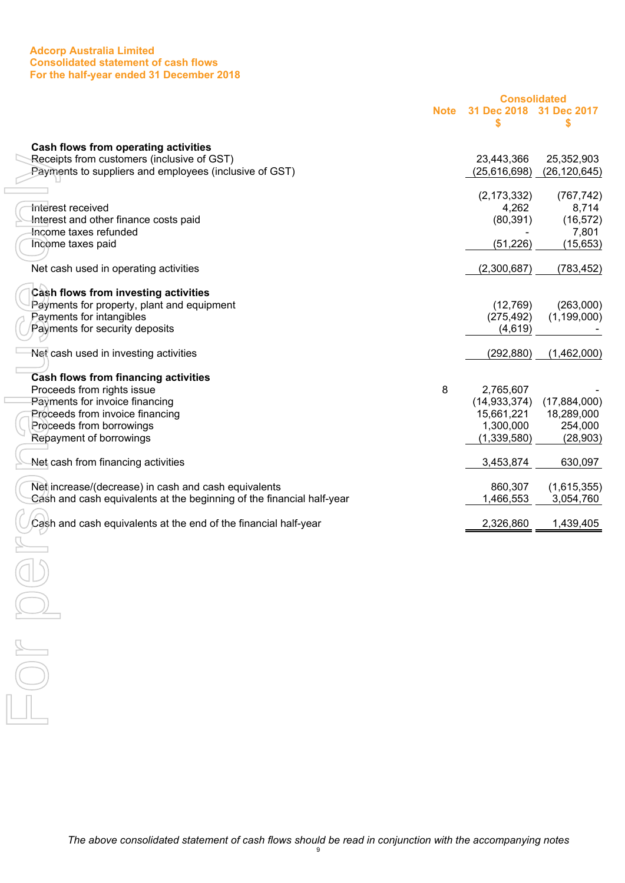#### **Adcorp Australia Limited Consolidated statement of cash flows For the half-year ended 31 December 2018**

<span id="page-11-0"></span>

|                                                                           |             | <b>Consolidated</b>    |                     |
|---------------------------------------------------------------------------|-------------|------------------------|---------------------|
|                                                                           | <b>Note</b> | 31 Dec 2018<br>\$      | 31 Dec 2017<br>S    |
|                                                                           |             |                        |                     |
| Cash flows from operating activities                                      |             |                        |                     |
| Receipts from customers (inclusive of GST)                                |             | 23,443,366             | 25,352,903          |
| Payments to suppliers and employees (inclusive of GST)                    |             | (25,616,698)           | (26, 120, 645)      |
|                                                                           |             |                        |                     |
| Interest received                                                         |             | (2, 173, 332)<br>4,262 | (767, 742)<br>8,714 |
| Interest and other finance costs paid                                     |             | (80, 391)              | (16, 572)           |
| Income taxes refunded                                                     |             |                        | 7,801               |
| Income taxes paid                                                         |             | (51, 226)              | (15, 653)           |
|                                                                           |             |                        |                     |
| Net cash used in operating activities                                     |             | (2,300,687)            | (783, 452)          |
| Cash flows from investing activities                                      |             |                        |                     |
| Payments for property, plant and equipment                                |             | (12,769)               | (263,000)           |
| Payments for intangibles                                                  |             | (275, 492)             | (1, 199, 000)       |
| Payments for security deposits                                            |             | (4,619)                |                     |
| Net cash used in investing activities                                     |             | (292, 880)             | (1,462,000)         |
|                                                                           |             |                        |                     |
| <b>Cash flows from financing activities</b><br>Proceeds from rights issue | 8           | 2,765,607              |                     |
| Payments for invoice financing                                            |             | (14, 933, 374)         | (17, 884, 000)      |
| Proceeds from invoice financing                                           |             | 15,661,221             | 18,289,000          |
| Proceeds from borrowings                                                  |             | 1,300,000              | 254,000             |
| Repayment of borrowings                                                   |             | (1, 339, 580)          | (28, 903)           |
|                                                                           |             |                        |                     |
| Net cash from financing activities                                        |             | 3,453,874              | 630,097             |
| Net increase/(decrease) in cash and cash equivalents                      |             | 860,307                | (1,615,355)         |
| Cash and cash equivalents at the beginning of the financial half-year     |             | 1,466,553              | 3,054,760           |
|                                                                           |             |                        |                     |
| Cash and cash equivalents at the end of the financial half-year           |             | 2,326,860              | 1,439,405           |
|                                                                           |             |                        |                     |
|                                                                           |             |                        |                     |
|                                                                           |             |                        |                     |
|                                                                           |             |                        |                     |
|                                                                           |             |                        |                     |
|                                                                           |             |                        |                     |
|                                                                           |             |                        |                     |
|                                                                           |             |                        |                     |
|                                                                           |             |                        |                     |
|                                                                           |             |                        |                     |
|                                                                           |             |                        |                     |
|                                                                           |             |                        |                     |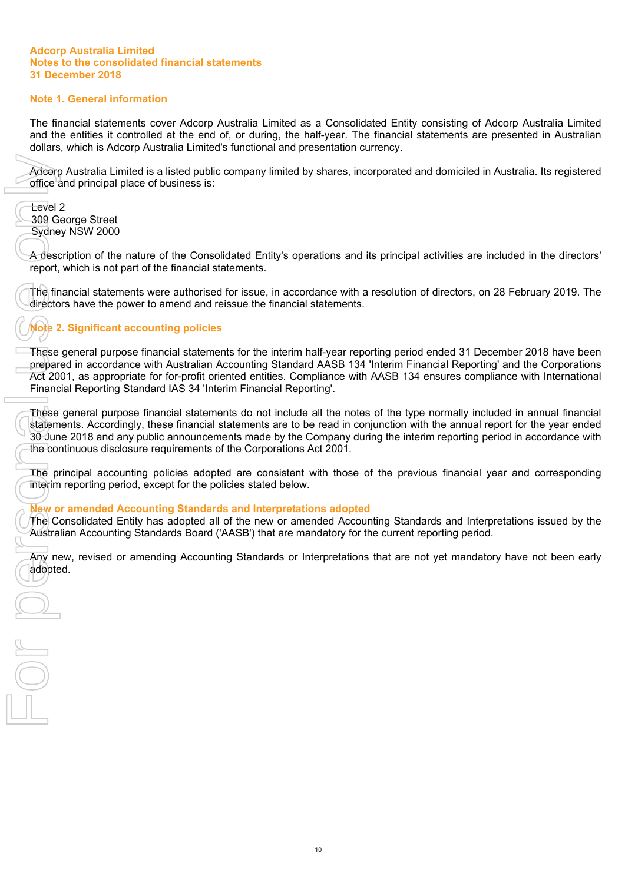# <span id="page-12-0"></span>**Note 1. General information**

The financial statements cover Adcorp Australia Limited as a Consolidated Entity consisting of Adcorp Australia Limited and the entities it controlled at the end of, or during, the half-year. The financial statements are presented in Australian dollars, which is Adcorp Australia Limited's functional and presentation currency.

Adcorp Australia Limited is a listed public company limited by shares, incorporated and domiciled in Australia. Its registered office and principal place of business is:

Level 2 309 George Street Sydney NSW 2000

A description of the nature of the Consolidated Entity's operations and its principal activities are included in the directors' report, which is not part of the financial statements.

The financial statements were authorised for issue, in accordance with a resolution of directors, on 28 February 2019. The directors have the power to amend and reissue the financial statements.

# **Note 2. Significant accounting policies**

These general purpose financial statements for the interim half-year reporting period ended 31 December 2018 have been prepared in accordance with Australian Accounting Standard AASB 134 'Interim Financial Reporting' and the Corporations Act 2001, as appropriate for for-profit oriented entities. Compliance with AASB 134 ensures compliance with International Financial Reporting Standard IAS 34 'Interim Financial Reporting'. Adcorp A<br>
office and Level 2<br>
309 Geo<br>
Sydney I<br>
A descript, w<br>
The financial<br>
directors<br>
These geoperated<br>
Act 2001<br>
Financial<br>
These geoperated<br>
Act 2001<br>
Financial<br>
These geoperated<br>
30 June<br>
the contil<br>
The prin<br>
The p

These general purpose financial statements do not include all the notes of the type normally included in annual financial statements. Accordingly, these financial statements are to be read in conjunction with the annual report for the year ended 30 June 2018 and any public announcements made by the Company during the interim reporting period in accordance with the continuous disclosure requirements of the Corporations Act 2001.

The principal accounting policies adopted are consistent with those of the previous financial year and corresponding interim reporting period, except for the policies stated below.

#### **New or amended Accounting Standards and Interpretations adopted**

The Consolidated Entity has adopted all of the new or amended Accounting Standards and Interpretations issued by the Australian Accounting Standards Board ('AASB') that are mandatory for the current reporting period.

Any new, revised or amending Accounting Standards or Interpretations that are not yet mandatory have not been early adopted.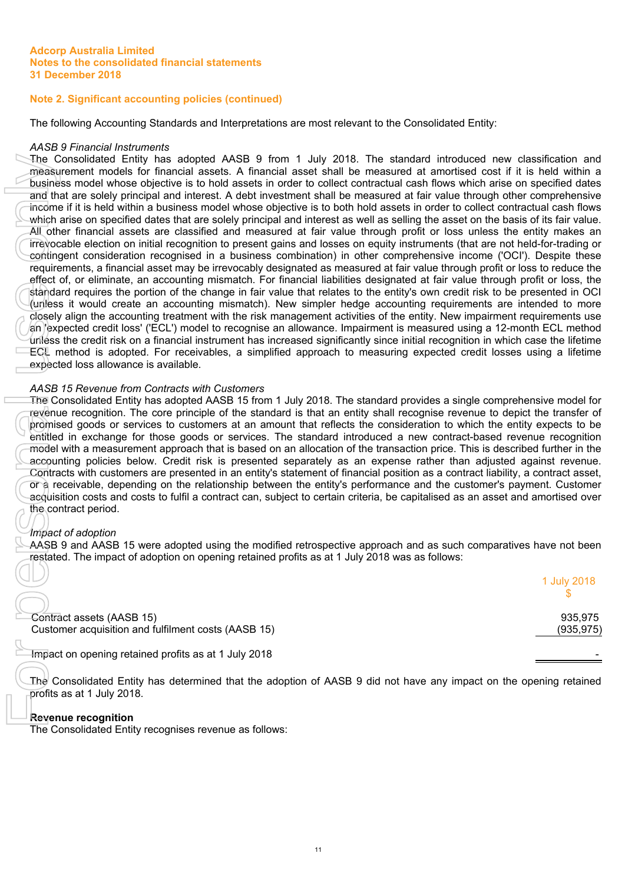# **Note 2. Significant accounting policies (continued)**

The following Accounting Standards and Interpretations are most relevant to the Consolidated Entity:

#### *AASB 9 Financial Instruments*

The Consolidated Entity has adopted AASB 9 from 1 July 2018. The standard introduced new classification and measurement models for financial assets. A financial asset shall be measured at amortised cost if it is held within a business model whose objective is to hold assets in order to collect contractual cash flows which arise on specified dates and that are solely principal and interest. A debt investment shall be measured at fair value through other comprehensive income if it is held within a business model whose objective is to both hold assets in order to collect contractual cash flows which arise on specified dates that are solely principal and interest as well as selling the asset on the basis of its fair value. All other financial assets are classified and measured at fair value through profit or loss unless the entity makes an irrevocable election on initial recognition to present gains and losses on equity instruments (that are not held-for-trading or contingent consideration recognised in a business combination) in other comprehensive income ('OCI'). Despite these requirements, a financial asset may be irrevocably designated as measured at fair value through profit or loss to reduce the effect of, or eliminate, an accounting mismatch. For financial liabilities designated at fair value through profit or loss, the standard requires the portion of the change in fair value that relates to the entity's own credit risk to be presented in OCI (unless it would create an accounting mismatch). New simpler hedge accounting requirements are intended to more closely align the accounting treatment with the risk management activities of the entity. New impairment requirements use an 'expected credit loss' ('ECL') model to recognise an allowance. Impairment is measured using a 12-month ECL method unless the credit risk on a financial instrument has increased significantly since initial recognition in which case the lifetime ECL method is adopted. For receivables, a simplified approach to measuring expected credit losses using a lifetime expected loss allowance is available. The Consolidated Entity has adopted AASB 9 from the Consolidated Entity and the Consolidated Entity and the Consolidated Entity The Consolidated Entity and the Consolidated Entity and the Consolidated Entity refluence is a

## *AASB 15 Revenue from Contracts with Customers*

The Consolidated Entity has adopted AASB 15 from 1 July 2018. The standard provides a single comprehensive model for revenue recognition. The core principle of the standard is that an entity shall recognise revenue to depict the transfer of promised goods or services to customers at an amount that reflects the consideration to which the entity expects to be entitled in exchange for those goods or services. The standard introduced a new contract-based revenue recognition model with a measurement approach that is based on an allocation of the transaction price. This is described further in the accounting policies below. Credit risk is presented separately as an expense rather than adjusted against revenue. Contracts with customers are presented in an entity's statement of financial position as a contract liability, a contract asset, or a receivable, depending on the relationship between the entity's performance and the customer's payment. Customer acquisition costs and costs to fulfil a contract can, subject to certain criteria, be capitalised as an asset and amortised over the contract period.

#### *Impact of adoption*

AASB 9 and AASB 15 were adopted using the modified retrospective approach and as such comparatives have not been restated. The impact of adoption on opening retained profits as at 1 July 2018 was as follows:

|                                                                                  | 1 July 2018           |
|----------------------------------------------------------------------------------|-----------------------|
| Contract assets (AASB 15)<br>Customer acquisition and fulfilment costs (AASB 15) | 935.975<br>(935, 975) |
| Impact on opening retained profits as at 1 July 2018                             |                       |

The Consolidated Entity has determined that the adoption of AASB 9 did not have any impact on the opening retained profits as at 1 July 2018.

# **Revenue recognition**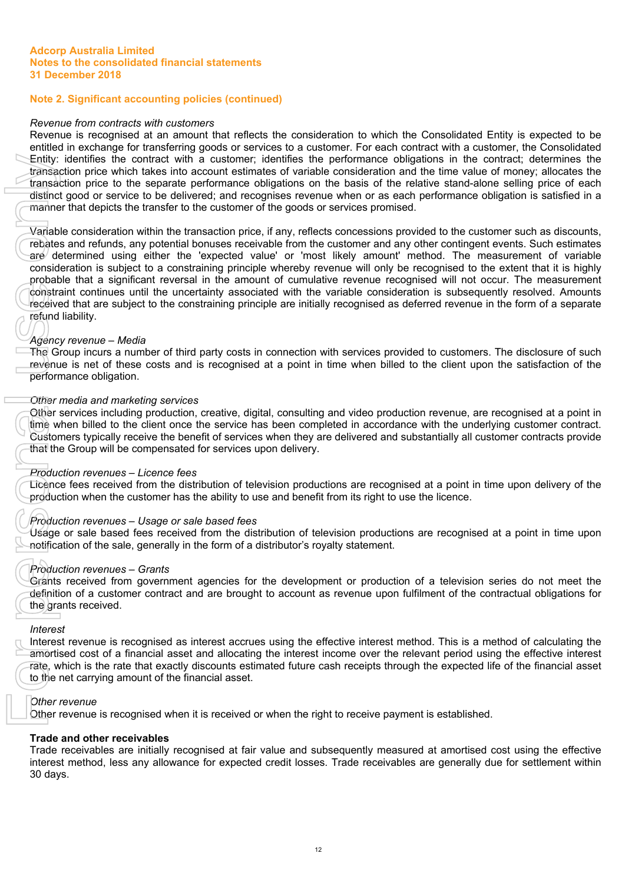# **Note 2. Significant accounting policies (continued)**

## *Revenue from contracts with customers*

Revenue is recognised at an amount that reflects the consideration to which the Consolidated Entity is expected to be entitled in exchange for transferring goods or services to a customer. For each contract with a customer, the Consolidated Entity: identifies the contract with a customer; identifies the performance obligations in the contract; determines the transaction price which takes into account estimates of variable consideration and the time value of money; allocates the transaction price to the separate performance obligations on the basis of the relative stand-alone selling price of each distinct good or service to be delivered; and recognises revenue when or as each performance obligation is satisfied in a manner that depicts the transfer to the customer of the goods or services promised.

Variable consideration within the transaction price, if any, reflects concessions provided to the customer such as discounts, rebates and refunds, any potential bonuses receivable from the customer and any other contingent events. Such estimates are determined using either the 'expected value' or 'most likely amount' method. The measurement of variable consideration is subject to a constraining principle whereby revenue will only be recognised to the extent that it is highly probable that a significant reversal in the amount of cumulative revenue recognised will not occur. The measurement constraint continues until the uncertainty associated with the variable consideration is subsequently resolved. Amounts received that are subject to the constraining principle are initially recognised as deferred revenue in the form of a separate refund liability.

# *Agency revenue – Media*

The Group incurs a number of third party costs in connection with services provided to customers. The disclosure of such revenue is net of these costs and is recognised at a point in time when billed to the client upon the satisfaction of the performance obligation.

#### *Other media and marketing services*

Other services including production, creative, digital, consulting and video production revenue, are recognised at a point in time when billed to the client once the service has been completed in accordance with the underlying customer contract. Customers typically receive the benefit of services when they are delivered and substantially all customer contracts provide that the Group will be compensated for services upon delivery.

#### *Production revenues – Licence fees*

Licence fees received from the distribution of television productions are recognised at a point in time upon delivery of the production when the customer has the ability to use and benefit from its right to use the licence.

# *Production revenues – Usage or sale based fees*

Usage or sale based fees received from the distribution of television productions are recognised at a point in time upon notification of the sale, generally in the form of a distributor's royalty statement.

#### *Production revenues – Grants*

Grants received from government agencies for the development or production of a television series do not meet the definition of a customer contract and are brought to account as revenue upon fulfilment of the contractual obligations for the grants received.

#### *Interest*

Interest revenue is recognised as interest accrues using the effective interest method. This is a method of calculating the amortised cost of a financial asset and allocating the interest income over the relevant period using the effective interest rate, which is the rate that exactly discounts estimated future cash receipts through the expected life of the financial asset to the net carrying amount of the financial asset.

#### *Other revenue*

Other revenue is recognised when it is received or when the right to receive payment is established.

# **Trade and other receivables**

Trade receivables are initially recognised at fair value and subsequently measured at amortised cost using the effective interest method, less any allowance for expected credit losses. Trade receivables are generally due for settlement within 30 days.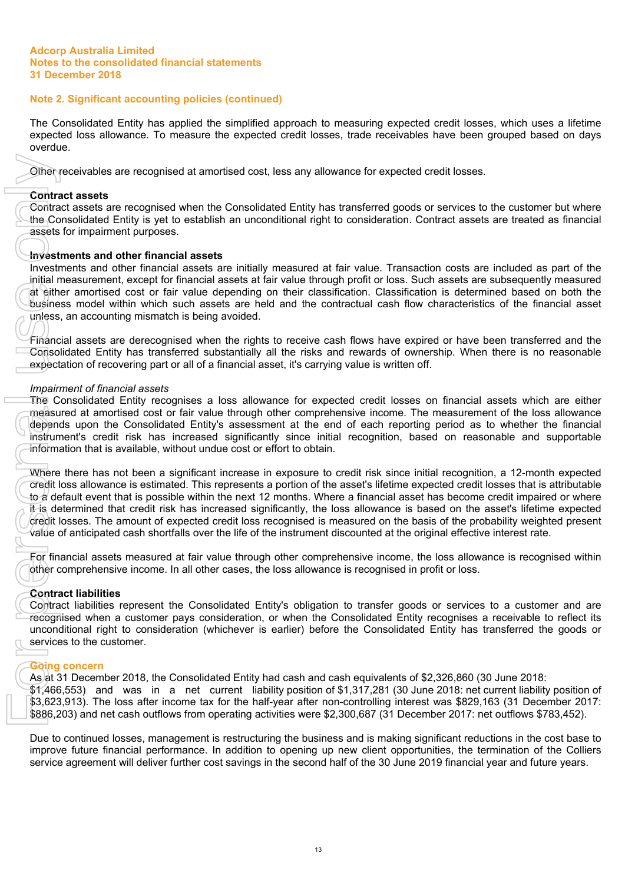# **Note 2. Significant accounting policies (continued)**

The Consolidated Entity has applied the simplified approach to measuring expected credit losses, which uses a lifetime expected loss allowance. To measure the expected credit losses, trade receivables have been grouped based on days overdue.

Other receivables are recognised at amortised cost, less any allowance for expected credit losses.

#### **Contract assets**

Contract assets are recognised when the Consolidated Entity has transferred goods or services to the customer but where the Consolidated Entity is yet to establish an unconditional right to consideration. Contract assets are treated as financial assets for impairment purposes.

#### **Investments and other financial assets**

Investments and other financial assets are initially measured at fair value. Transaction costs are included as part of the initial measurement, except for financial assets at fair value through profit or loss. Such assets are subsequently measured at either amortised cost or fair value depending on their classification. Classification is determined based on both the business model within which such assets are held and the contractual cash flow characteristics of the financial asset unless, an accounting mismatch is being avoided.

Financial assets are derecognised when the rights to receive cash flows have expired or have been transferred and the Consolidated Entity has transferred substantially all the risks and rewards of ownership. When there is no reasonable expectation of recovering part or all of a financial asset, it's carrying value is written off.

#### *Impairment of financial assets*

The Consolidated Entity recognises a loss allowance for expected credit losses on financial assets which are either measured at amortised cost or fair value through other comprehensive income. The measurement of the loss allowance depends upon the Consolidated Entity's assessment at the end of each reporting period as to whether the financial instrument's credit risk has increased significantly since initial recognition, based on reasonable and supportable information that is available, without undue cost or effort to obtain.

Where there has not been a significant increase in exposure to credit risk since initial recognition, a 12-month expected credit loss allowance is estimated. This represents a portion of the asset's lifetime expected credit losses that is attributable to a default event that is possible within the next 12 months. Where a financial asset has become credit impaired or where it is determined that credit risk has increased significantly, the loss allowance is based on the asset's lifetime expected credit losses. The amount of expected credit loss recognised is measured on the basis of the probability weighted present value of anticipated cash shortfalls over the life of the instrument discounted at the original effective interest rate. Other technologies are recognised at amortised cost, less any atowance for expected credit bases.<br>
Contract assets dentate participates are interesting for the second of the second of the second function of the second fur

For financial assets measured at fair value through other comprehensive income, the loss allowance is recognised within other comprehensive income. In all other cases, the loss allowance is recognised in profit or loss.

#### **Contract liabilities**

Contract liabilities represent the Consolidated Entity's obligation to transfer goods or services to a customer and are recognised when a customer pays consideration, or when the Consolidated Entity recognises a receivable to reflect its unconditional right to consideration (whichever is earlier) before the Consolidated Entity has transferred the goods or services to the customer.

#### **Going concern**

As at 31 December 2018, the Consolidated Entity had cash and cash equivalents of \$2,326,860 (30 June 2018: \$1,466,553) and was in a net current liability position of \$1,317,281 (30 June 2018: net current liability position of \$3,623,913). The loss after income tax for the half-year after non-controlling interest was \$829,163 (31 December 2017: \$886,203) and net cash outflows from operating activities were \$2,300,687 (31 December 2017: net outflows \$783,452).

Due to continued losses, management is restructuring the business and is making significant reductions in the cost base to improve future financial performance. In addition to opening up new client opportunities, the termination of the Colliers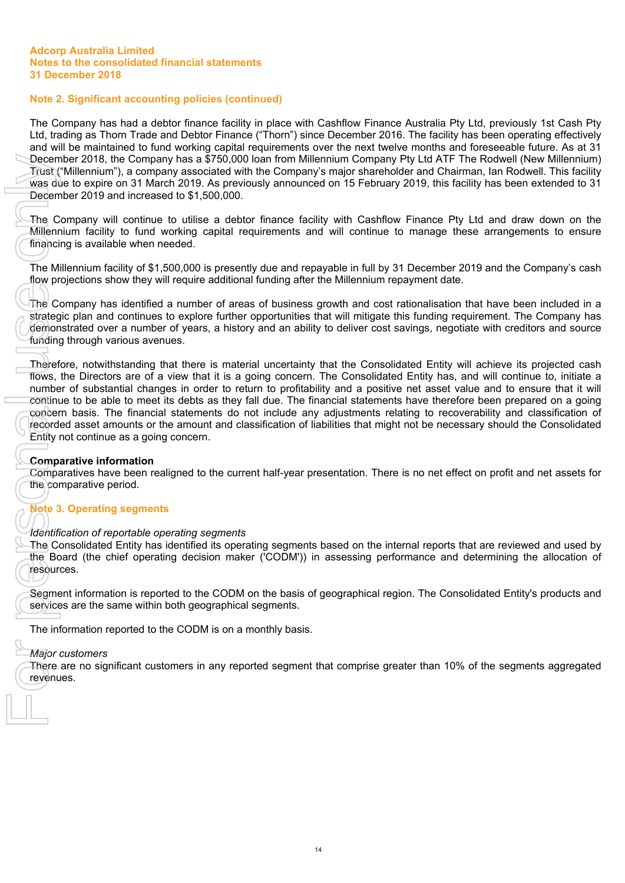# **Note 2. Significant accounting policies (continued)**

The Company has had a debtor finance facility in place with Cashflow Finance Australia Pty Ltd, previously 1st Cash Pty Ltd, trading as Thorn Trade and Debtor Finance ("Thorn") since December 2016. The facility has been operating effectively and will be maintained to fund working capital requirements over the next twelve months and foreseeable future. As at 31 December 2018, the Company has a \$750,000 loan from Millennium Company Pty Ltd ATF The Rodwell (New Millennium) Trust ("Millennium"), a company associated with the Company's major shareholder and Chairman, Ian Rodwell. This facility was due to expire on 31 March 2019. As previously announced on 15 February 2019, this facility has been extended to 31 December 2019 and increased to \$1,500,000.

The Company will continue to utilise a debtor finance facility with Cashflow Finance Pty Ltd and draw down on the Millennium facility to fund working capital requirements and will continue to manage these arrangements to ensure financing is available when needed.

The Millennium facility of \$1,500,000 is presently due and repayable in full by 31 December 2019 and the Company's cash flow projections show they will require additional funding after the Millennium repayment date.

The Company has identified a number of areas of business growth and cost rationalisation that have been included in a strategic plan and continues to explore further opportunities that will mitigate this funding requirement. The Company has demonstrated over a number of years, a history and an ability to deliver cost savings, negotiate with creditors and source funding through various avenues.

Therefore, notwithstanding that there is material uncertainty that the Consolidated Entity will achieve its projected cash flows, the Directors are of a view that it is a going concern. The Consolidated Entity has, and will continue to, initiate a number of substantial changes in order to return to profitability and a positive net asset value and to ensure that it will continue to be able to meet its debts as they fall due. The financial statements have therefore been prepared on a going concern basis. The financial statements do not include any adjustments relating to recoverability and classification of recorded asset amounts or the amount and classification of liabilities that might not be necessary should the Consolidated Entity not continue as a going concern.

# **Comparative information**

Comparatives have been realigned to the current half-year presentation. There is no net effect on profit and net assets for the comparative period.

# **Note 3. Operating segments**

#### *Identification of reportable operating segments*

The Consolidated Entity has identified its operating segments based on the internal reports that are reviewed and used by the Board (the chief operating decision maker ('CODM')) in assessing performance and determining the allocation of resources.

Segment information is reported to the CODM on the basis of geographical region. The Consolidated Entity's products and services are the same within both geographical segments.

The information reported to the CODM is on a monthly basis.

#### *Major customers*

There are no significant customers in any reported segment that comprise greater than 10% of the segments aggregated revenues.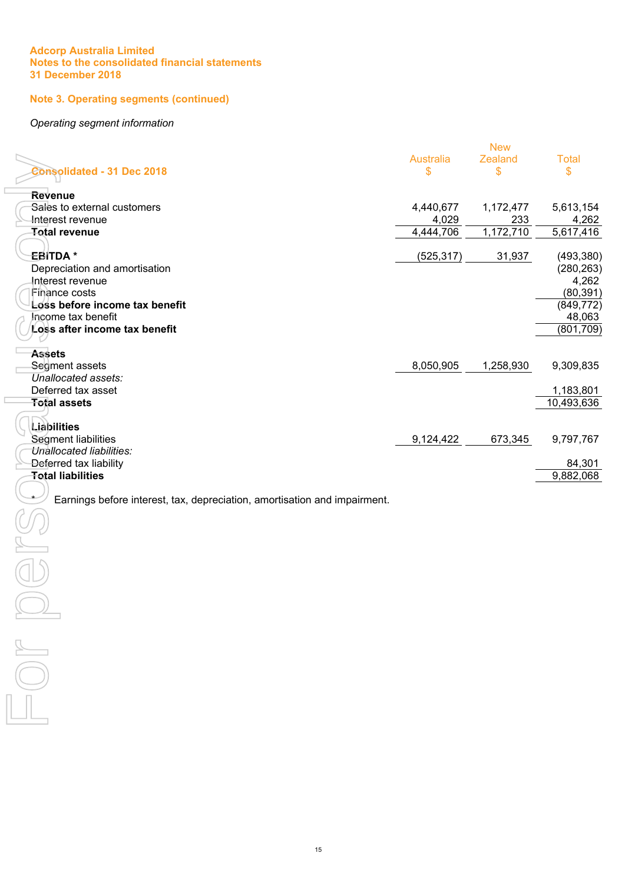# **Note 3. Operating segments (continued)**

#### *Operating segment information*

|                                                                           |                  | <b>New</b> |              |
|---------------------------------------------------------------------------|------------------|------------|--------------|
|                                                                           | <b>Australia</b> | Zealand    | <b>Total</b> |
| <b>Consolidated - 31 Dec 2018</b>                                         | \$               | \$         | \$           |
|                                                                           |                  |            |              |
| <b>Revenue</b>                                                            |                  |            |              |
| Sales to external customers                                               | 4,440,677        | 1,172,477  | 5,613,154    |
| Interest revenue                                                          | 4,029            | 233        | 4,262        |
| <b>Total revenue</b>                                                      | 4,444,706        | 1,172,710  | 5,617,416    |
|                                                                           |                  |            |              |
| <del>E</del> BITDA *                                                      | (525, 317)       | 31,937     | (493, 380)   |
| Depreciation and amortisation                                             |                  |            | (280, 263)   |
| Interest revenue                                                          |                  |            | 4,262        |
| Finance costs                                                             |                  |            | (80, 391)    |
| Loss before income tax benefit                                            |                  |            | (849, 772)   |
| Income tax benefit                                                        |                  |            |              |
|                                                                           |                  |            | 48,063       |
| Loss after income tax benefit                                             |                  |            | (801, 709)   |
|                                                                           |                  |            |              |
| <b>Assets</b>                                                             |                  |            |              |
| Segment assets                                                            | 8,050,905        | 1,258,930  | 9,309,835    |
| Unallocated assets:                                                       |                  |            |              |
| Deferred tax asset                                                        |                  |            | 1,183,801    |
| <b>Total assets</b>                                                       |                  |            | 10,493,636   |
|                                                                           |                  |            |              |
| Liabilities                                                               |                  |            |              |
| Segment liabilities                                                       | 9,124,422        | 673,345    | 9,797,767    |
| Unallocated liabilities:                                                  |                  |            |              |
| Deferred tax liability                                                    |                  |            | 84,301       |
| <b>Total liabilities</b>                                                  |                  |            | 9,882,068    |
|                                                                           |                  |            |              |
| Earnings before interest, tax, depreciation, amortisation and impairment. |                  |            |              |
|                                                                           |                  |            |              |
|                                                                           |                  |            |              |
|                                                                           |                  |            |              |
|                                                                           |                  |            |              |
|                                                                           |                  |            |              |
|                                                                           |                  |            |              |
|                                                                           |                  |            |              |
|                                                                           |                  |            |              |
|                                                                           |                  |            |              |
|                                                                           |                  |            |              |
|                                                                           |                  |            |              |
|                                                                           |                  |            |              |
|                                                                           |                  |            |              |
|                                                                           |                  |            |              |
|                                                                           |                  |            |              |
|                                                                           |                  |            |              |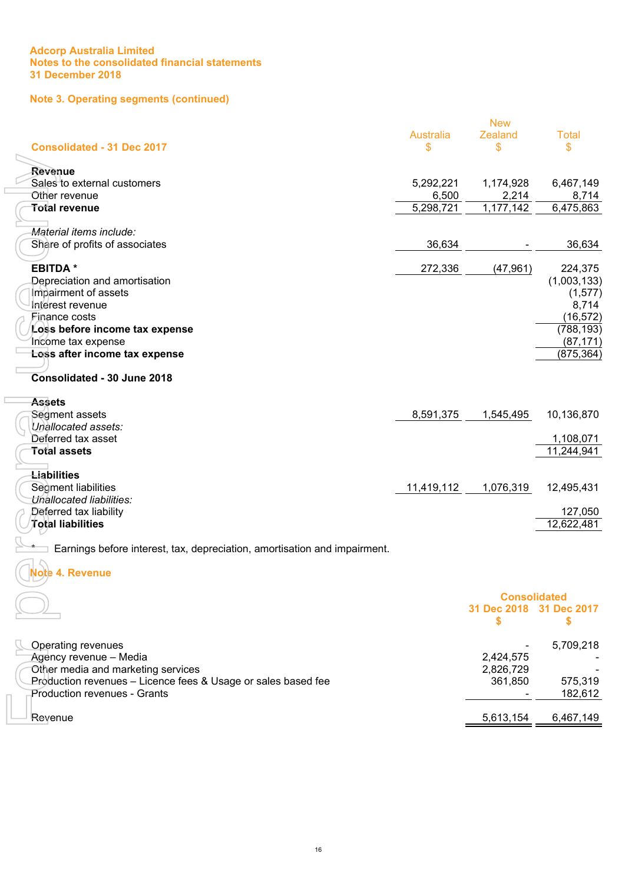# **Note 3. Operating segments (continued)**

|                                                                           |                  | <b>New</b>          |              |
|---------------------------------------------------------------------------|------------------|---------------------|--------------|
|                                                                           | <b>Australia</b> | <b>Zealand</b>      | <b>Total</b> |
| <b>Consolidated - 31 Dec 2017</b>                                         | \$               | \$                  | \$           |
|                                                                           |                  |                     |              |
| Revenue                                                                   |                  |                     |              |
| Sales to external customers                                               | 5,292,221        | 1,174,928           | 6,467,149    |
| Other revenue                                                             | 6,500            | 2,214               | 8,714        |
| Total revenue                                                             | 5,298,721        | 1,177,142           | 6,475,863    |
| Material items include:                                                   |                  |                     |              |
| Share of profits of associates                                            | 36,634           |                     | 36,634       |
|                                                                           |                  |                     |              |
| <b>EBITDA*</b>                                                            | 272,336          | (47, 961)           | 224,375      |
| Depreciation and amortisation                                             |                  |                     | (1,003,133)  |
| Impairment of assets                                                      |                  |                     | (1, 577)     |
| Interest revenue                                                          |                  |                     | 8,714        |
| Finance costs                                                             |                  |                     | (16, 572)    |
| Loss before income tax expense                                            |                  |                     | (788, 193)   |
| Income tax expense                                                        |                  |                     | (87, 171)    |
| Loss after income tax expense                                             |                  |                     | (875, 364)   |
|                                                                           |                  |                     |              |
| Consolidated - 30 June 2018                                               |                  |                     |              |
| <b>Assets</b>                                                             |                  |                     |              |
| Segment assets                                                            | 8,591,375        | 1,545,495           | 10,136,870   |
| Unallocated assets:                                                       |                  |                     |              |
| Deferred tax asset                                                        |                  |                     | 1,108,071    |
| <b>Total assets</b>                                                       |                  |                     | 11,244,941   |
|                                                                           |                  |                     |              |
| <b>Liabilities</b>                                                        |                  |                     |              |
| Segment liabilities                                                       | 11,419,112       | 1,076,319           | 12,495,431   |
| Unallocated liabilities:<br>Deferred tax liability                        |                  |                     | 127,050      |
| Total liabilities                                                         |                  |                     | 12,622,481   |
|                                                                           |                  |                     |              |
| Earnings before interest, tax, depreciation, amortisation and impairment. |                  |                     |              |
| <b>Note 4. Revenue</b>                                                    |                  |                     |              |
|                                                                           |                  |                     |              |
|                                                                           |                  | <b>Consolidated</b> |              |
|                                                                           |                  | 31 Dec 2018         | 31 Dec 2017  |
|                                                                           |                  | S                   | \$           |
| <b>Operating revenues</b>                                                 |                  |                     | 5,709,218    |
| Agency revenue - Media                                                    |                  | 2,424,575           |              |
| Other media and marketing services                                        |                  | 2,826,729           |              |
| Production revenues - Licence fees & Usage or sales based fee             |                  | 361,850             | 575,319      |
| <b>Production revenues - Grants</b>                                       |                  |                     | 182,612      |
|                                                                           |                  |                     |              |
| Revenue                                                                   |                  | 5,613,154           | 6,467,149    |

|                                                               |           | .         |
|---------------------------------------------------------------|-----------|-----------|
| Agency revenue – Media                                        | 2.424.575 |           |
| Other media and marketing services                            | 2,826,729 |           |
| Production revenues – Licence fees & Usage or sales based fee | 361.850   | 575.319   |
| <b>Production revenues - Grants</b>                           |           | 182.612   |
|                                                               |           |           |
| <del>R</del> evenue                                           | 5.613.154 | 6.467.149 |
|                                                               |           |           |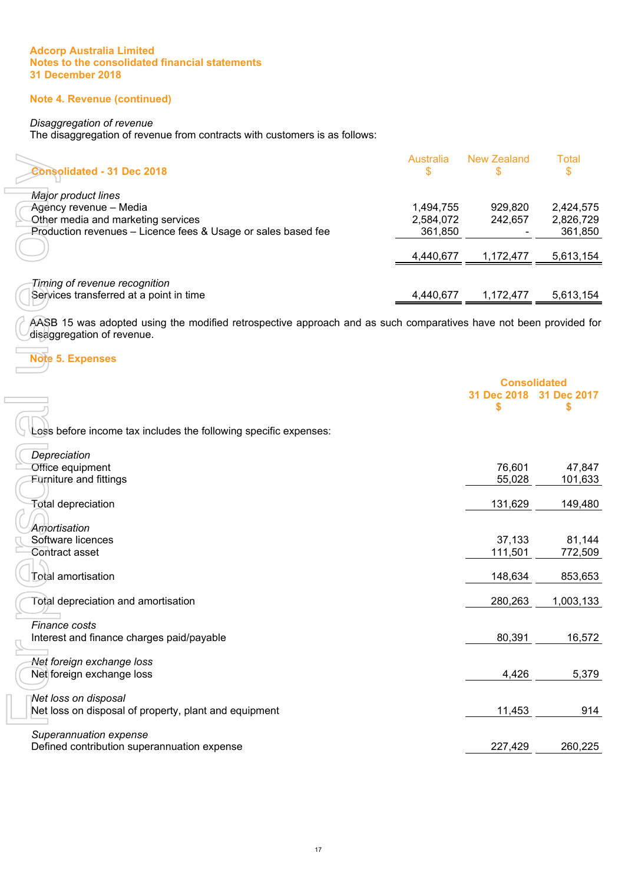# **Note 4. Revenue (continued)**

# *Disaggregation of revenue*

The disaggregation of revenue from contracts with customers is as follows:

| <b>Consolidated - 31 Dec 2018</b>                             | Australia<br>S | New Zealand | Total<br>S |
|---------------------------------------------------------------|----------------|-------------|------------|
| Major product lines                                           |                |             |            |
| Agency revenue – Media                                        | 1,494,755      | 929.820     | 2,424,575  |
| Other media and marketing services                            | 2,584,072      | 242.657     | 2,826,729  |
| Production revenues - Licence fees & Usage or sales based fee | 361,850        |             | 361,850    |
|                                                               | 4,440,677      | 1.172.477   | 5,613,154  |
| Timing of revenue recognition                                 |                |             |            |
| Services transferred at a point in time                       | 4,440,677      | 1,172,477   | 5,613,154  |

#### **Note 5. Expenses**

| <b>Consolidated - 31 Dec 2018</b>                                                                                                               | <b>Australia</b><br>\$ | <b>New Zealand</b>      | <b>Total</b><br>\$     |
|-------------------------------------------------------------------------------------------------------------------------------------------------|------------------------|-------------------------|------------------------|
|                                                                                                                                                 |                        |                         |                        |
| Major product lines                                                                                                                             |                        |                         |                        |
| Agency revenue - Media<br>Other media and marketing services                                                                                    | 1,494,755<br>2,584,072 | 929,820<br>242,657      | 2,424,575<br>2,826,729 |
| Production revenues - Licence fees & Usage or sales based fee                                                                                   | 361,850                |                         | 361,850                |
|                                                                                                                                                 |                        |                         |                        |
|                                                                                                                                                 | 4,440,677              | 1,172,477               | 5,613,154              |
|                                                                                                                                                 |                        |                         |                        |
| Timing of revenue recognition<br>Services transferred at a point in time                                                                        | 4,440,677              | 1,172,477               | 5,613,154              |
|                                                                                                                                                 |                        |                         |                        |
| AASB 15 was adopted using the modified retrospective approach and as such comparatives have not been provided for<br>disaggregation of revenue. |                        |                         |                        |
| <b>Note 5. Expenses</b>                                                                                                                         |                        |                         |                        |
|                                                                                                                                                 |                        | <b>Consolidated</b>     |                        |
|                                                                                                                                                 |                        | 31 Dec 2018 31 Dec 2017 |                        |
|                                                                                                                                                 |                        | \$                      | \$                     |
|                                                                                                                                                 |                        |                         |                        |
| Less before income tax includes the following specific expenses:                                                                                |                        |                         |                        |
| Depreciation                                                                                                                                    |                        |                         |                        |
| Office equipment                                                                                                                                |                        | 76,601                  | 47,847                 |
| <b>Furniture and fittings</b>                                                                                                                   |                        | 55,028                  | 101,633                |
|                                                                                                                                                 |                        |                         |                        |
| <b>Total depreciation</b>                                                                                                                       |                        | 131,629                 | 149,480                |
|                                                                                                                                                 |                        |                         |                        |
| Amortisation                                                                                                                                    |                        |                         |                        |
| Software licences                                                                                                                               |                        | 37,133                  | 81,144                 |
| Contract asset                                                                                                                                  |                        | 111,501                 | 772,509                |
| Total amortisation                                                                                                                              |                        | 148,634                 | 853,653                |
|                                                                                                                                                 |                        |                         |                        |
| <b>Total depreciation and amortisation</b>                                                                                                      |                        | 280,263                 | 1,003,133              |
|                                                                                                                                                 |                        |                         |                        |
| Finance costs                                                                                                                                   |                        |                         |                        |
| Interest and finance charges paid/payable                                                                                                       |                        | 80,391                  | 16,572                 |
| Net foreign exchange loss                                                                                                                       |                        |                         |                        |
| Net foreign exchange loss                                                                                                                       |                        | 4,426                   | 5,379                  |
|                                                                                                                                                 |                        |                         |                        |
| Net loss on disposal                                                                                                                            |                        |                         |                        |
| Net loss on disposal of property, plant and equipment                                                                                           |                        | 11,453                  | 914                    |
|                                                                                                                                                 |                        |                         |                        |
| Superannuation expense                                                                                                                          |                        |                         |                        |
| Defined contribution superannuation expense                                                                                                     |                        | 227,429                 | 260,225                |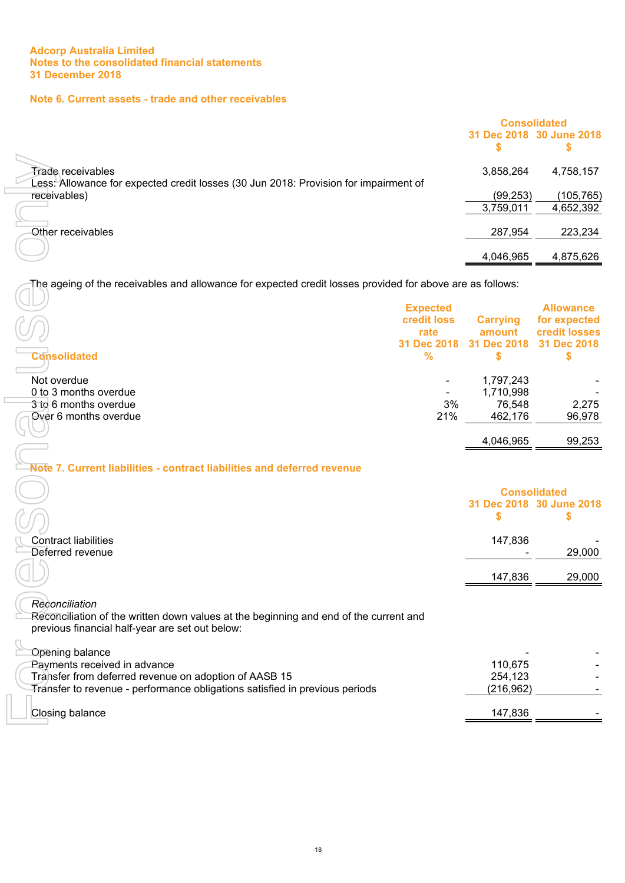$\mathbb{I}$  $\overline{\phantom{a}}$ 

 $\Box$ 

# **Note 6. Current assets - trade and other receivables**

|                                                                                                           | <b>Consolidated</b> |                          |
|-----------------------------------------------------------------------------------------------------------|---------------------|--------------------------|
|                                                                                                           |                     | 31 Dec 2018 30 June 2018 |
|                                                                                                           |                     |                          |
| Frade receivables<br>Less: Allowance for expected credit losses (30 Jun 2018: Provision for impairment of | 3,858,264           | 4,758,157                |
| receivables)                                                                                              | (99, 253)           | (105, 765)               |
|                                                                                                           | 3,759,011           | 4,652,392                |
| Other receivables                                                                                         | 287,954             | 223,234                  |
|                                                                                                           | 4,046,965           | 4,875,626                |
|                                                                                                           |                     |                          |

| <b>Consolidated</b>   | <b>Expected</b><br>credit loss<br>rate<br>31 Dec 2018<br>% | <b>Carrying</b><br>amount<br>31 Dec 2018 | <b>Allowance</b><br>for expected<br>credit losses<br>31 Dec 2018 |
|-----------------------|------------------------------------------------------------|------------------------------------------|------------------------------------------------------------------|
| Not overdue           |                                                            | 1,797,243                                |                                                                  |
| 0 to 3 months overdue |                                                            | 1,710,998                                |                                                                  |
| 3 to 6 months overdue | 3%                                                         | 76,548                                   | 2,275                                                            |
| Over 6 months overdue | 21%                                                        | 462,176                                  | 96,978                                                           |
|                       |                                                            | 4,046,965                                | 99,253                                                           |

# **Note 7. Current liabilities - contract liabilities and deferred revenue**

| <b>Trade receivables</b>                                                                                  |     | 3,858,264           | 4,758,157                |
|-----------------------------------------------------------------------------------------------------------|-----|---------------------|--------------------------|
| Less: Allowance for expected credit losses (30 Jun 2018: Provision for impairment of                      |     |                     |                          |
| receivables)                                                                                              |     | (99, 253)           | (105, 765)               |
|                                                                                                           |     | 3,759,011           | 4,652,392                |
| Other receivables                                                                                         |     | 287,954             | 223,234                  |
|                                                                                                           |     | 4,046,965           | 4,875,626                |
| The ageing of the receivables and allowance for expected credit losses provided for above are as follows: |     |                     |                          |
|                                                                                                           |     |                     |                          |
| <b>Expected</b>                                                                                           |     |                     | <b>Allowance</b>         |
| credit loss                                                                                               |     | <b>Carrying</b>     | for expected             |
| rate                                                                                                      |     | amount              | credit losses            |
| 31 Dec 2018                                                                                               |     | 31 Dec 2018         | 31 Dec 2018              |
| <b>Consolidated</b><br>%                                                                                  |     | \$                  | \$                       |
| Not overdue                                                                                               |     | 1,797,243           |                          |
| 0 to 3 months overdue                                                                                     |     | 1,710,998           |                          |
| 3 to 6 months overdue                                                                                     | 3%  | 76,548              | 2,275                    |
| Over 6 months overdue                                                                                     | 21% | 462,176             | 96,978                   |
|                                                                                                           |     |                     |                          |
|                                                                                                           |     | 4,046,965           | 99,253                   |
|                                                                                                           |     |                     |                          |
| Note 7. Current liabilities - contract liabilities and deferred revenue                                   |     |                     |                          |
|                                                                                                           |     |                     |                          |
|                                                                                                           |     | <b>Consolidated</b> |                          |
|                                                                                                           |     |                     | 31 Dec 2018 30 June 2018 |
|                                                                                                           |     | \$                  | \$                       |
| <b>Contract liabilities</b>                                                                               |     | 147,836             |                          |
| Deferred revenue                                                                                          |     |                     | 29,000                   |
|                                                                                                           |     |                     |                          |
|                                                                                                           |     | 147,836             | 29,000                   |
|                                                                                                           |     |                     |                          |
| Reconciliation                                                                                            |     |                     |                          |
| Reconciliation of the written down values at the beginning and end of the current and                     |     |                     |                          |
| previous financial half-year are set out below:                                                           |     |                     |                          |
|                                                                                                           |     |                     |                          |
| Opening balance                                                                                           |     |                     |                          |
| Payments received in advance                                                                              |     | 110,675             |                          |
| Transfer from deferred revenue on adoption of AASB 15                                                     |     | 254,123             |                          |
| Transfer to revenue - performance obligations satisfied in previous periods                               |     | (216, 962)          |                          |
| Closing balance                                                                                           |     | 147,836             |                          |
|                                                                                                           |     |                     |                          |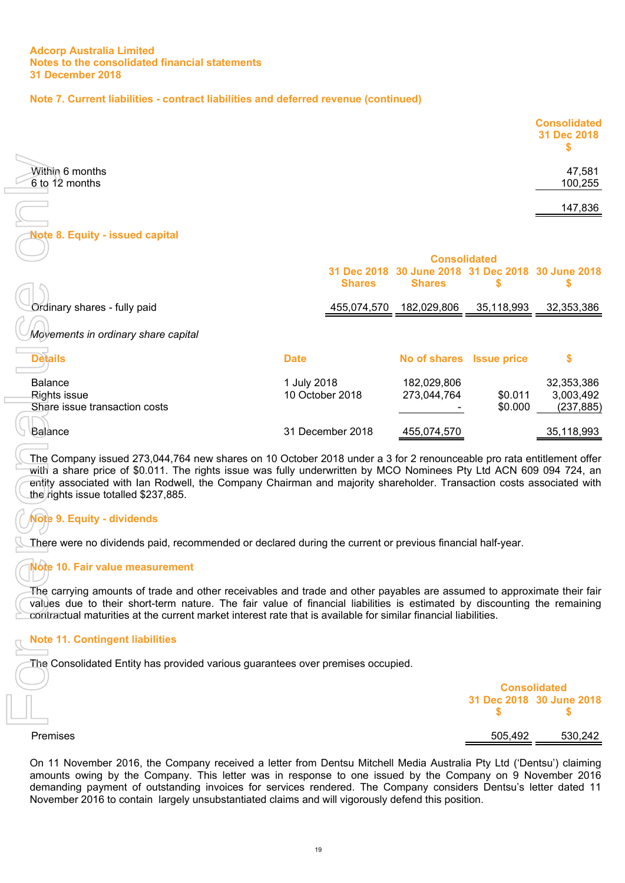# **Note 7. Current liabilities - contract liabilities and deferred revenue (continued)**

|                                          | <b>Consolidated</b><br>31 Dec 2018 |
|------------------------------------------|------------------------------------|
| <b>Within 6 months</b><br>6 to 12 months | 47,581<br>100,255                  |
|                                          | 147,836                            |
| Note 8. Equity - issued capital          |                                    |

| <b>Within 6 months</b><br>6 to 12 months                                                                                                                                                                                                                                                                                                                                                                                                                                                                                                                                                 |                                |                  |                                                                                           |                          | 47,581<br>100,255                     |
|------------------------------------------------------------------------------------------------------------------------------------------------------------------------------------------------------------------------------------------------------------------------------------------------------------------------------------------------------------------------------------------------------------------------------------------------------------------------------------------------------------------------------------------------------------------------------------------|--------------------------------|------------------|-------------------------------------------------------------------------------------------|--------------------------|---------------------------------------|
|                                                                                                                                                                                                                                                                                                                                                                                                                                                                                                                                                                                          |                                |                  |                                                                                           |                          | 147,836                               |
| <b>Note 8. Equity - issued capital</b>                                                                                                                                                                                                                                                                                                                                                                                                                                                                                                                                                   |                                |                  |                                                                                           |                          |                                       |
|                                                                                                                                                                                                                                                                                                                                                                                                                                                                                                                                                                                          |                                | <b>Shares</b>    | <b>Consolidated</b><br>31 Dec 2018 30 June 2018 31 Dec 2018 30 June 2018<br><b>Shares</b> | \$                       | \$                                    |
| Ordinary shares - fully paid                                                                                                                                                                                                                                                                                                                                                                                                                                                                                                                                                             |                                | 455,074,570      | 182,029,806                                                                               | 35,118,993               | 32,353,386                            |
| Movements in ordinary share capital                                                                                                                                                                                                                                                                                                                                                                                                                                                                                                                                                      |                                |                  |                                                                                           |                          |                                       |
| <b>Details</b>                                                                                                                                                                                                                                                                                                                                                                                                                                                                                                                                                                           | <b>Date</b>                    |                  | No of shares Issue price                                                                  |                          | \$                                    |
| <b>Balance</b><br>Rights issue<br>Share issue transaction costs                                                                                                                                                                                                                                                                                                                                                                                                                                                                                                                          | 1 July 2018<br>10 October 2018 |                  | 182,029,806<br>273,044,764                                                                | \$0.011<br>\$0.000       | 32,353,386<br>3,003,492<br>(237, 885) |
| Balance                                                                                                                                                                                                                                                                                                                                                                                                                                                                                                                                                                                  |                                | 31 December 2018 | 455,074,570                                                                               |                          | 35,118,993                            |
| The Company issued 273,044,764 new shares on 10 October 2018 under a 3 for 2 renounceable pro rata entitlement offer<br>with a share price of \$0.011. The rights issue was fully underwritten by MCO Nominees Pty Ltd ACN 609 094 724, an<br>entity associated with Ian Rodwell, the Company Chairman and majority shareholder. Transaction costs associated with<br>the rights issue totalled \$237,885.<br>Note 9. Equity - dividends<br>There were no dividends paid, recommended or declared during the current or previous financial half-year.<br>Note 10. Fair value measurement |                                |                  |                                                                                           |                          |                                       |
| The carrying amounts of trade and other receivables and trade and other payables are assumed to approximate their fair<br>values due to their short-term nature. The fair value of financial liabilities is estimated by discounting the remaining<br>contractual maturities at the current market interest rate that is available for similar financial liabilities.                                                                                                                                                                                                                    |                                |                  |                                                                                           |                          |                                       |
| <b>Note 11. Contingent liabilities</b>                                                                                                                                                                                                                                                                                                                                                                                                                                                                                                                                                   |                                |                  |                                                                                           |                          |                                       |
| The Consolidated Entity has provided various guarantees over premises occupied.                                                                                                                                                                                                                                                                                                                                                                                                                                                                                                          |                                |                  |                                                                                           |                          |                                       |
|                                                                                                                                                                                                                                                                                                                                                                                                                                                                                                                                                                                          |                                |                  |                                                                                           | <b>Consolidated</b><br>S | 31 Dec 2018 30 June 2018<br>\$        |
| Premises                                                                                                                                                                                                                                                                                                                                                                                                                                                                                                                                                                                 |                                |                  |                                                                                           | 505,492                  | 530,242                               |
| On 11 November 2016, the Company received a letter from Dentsu Mitchell Media Australia Pty Ltd ('Dentsu') claiming<br>amounts owing by the Company. This letter was in response to one issued by the Company on 9 November 2016<br>demanding payment of outstanding invoices for services rendered. The Company considers Dentsu's letter dated 11<br>November 2016 to contain largely unsubstantiated claims and will vigorously defend this position.                                                                                                                                 |                                |                  |                                                                                           |                          |                                       |

# **Note 9. Equity - dividends**

# **Note 10. Fair value measurement**

# **Note 11. Contingent liabilities**

| $\overline{\phantom{a}}$ | <b>Consolidated</b>            |  |  |  |
|--------------------------|--------------------------------|--|--|--|
|                          | 31 Dec 2018 30 June 2018<br>S. |  |  |  |
| Premises                 | 530,242<br>505,492             |  |  |  |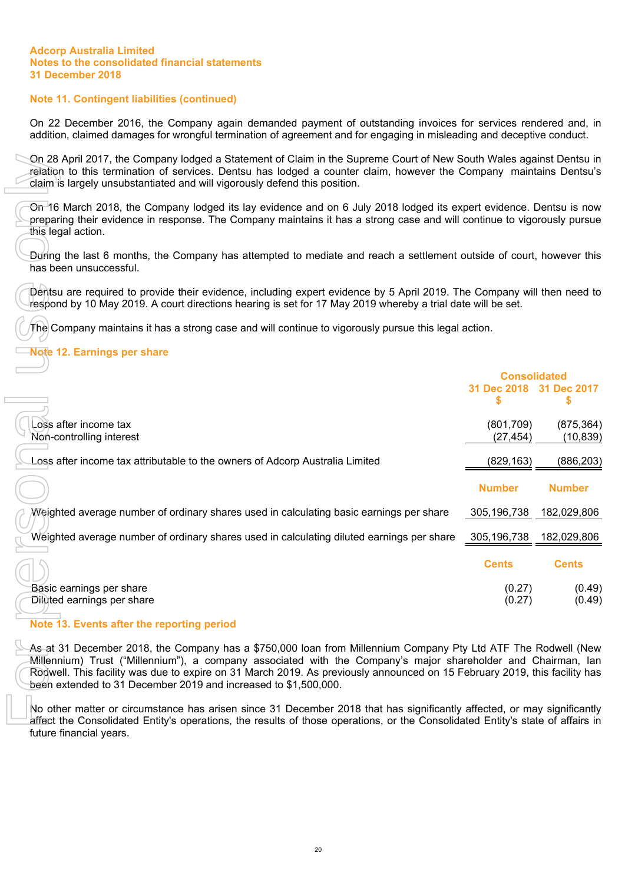# **Note 11. Contingent liabilities (continued)**

On 22 December 2016, the Company again demanded payment of outstanding invoices for services rendered and, in addition, claimed damages for wrongful termination of agreement and for engaging in misleading and deceptive conduct.

On 28 April 2017, the Company lodged a Statement of Claim in the Supreme Court of New South Wales against Dentsu in relation to this termination of services. Dentsu has lodged a counter claim, however the Company maintains Dentsu's claim is largely unsubstantiated and will vigorously defend this position.

# **Note 12. Earnings per share**

| On 28 April 2017, the Company lodged a Statement of Claim in the Supreme Court of New South Wales against Dentsu in<br>relation to this termination of services. Dentsu has lodged a counter claim, however the Company maintains Dentsu's<br>claim is largely unsubstantiated and will vigorously defend this position.                                                                                                       |                                                     |                         |  |
|--------------------------------------------------------------------------------------------------------------------------------------------------------------------------------------------------------------------------------------------------------------------------------------------------------------------------------------------------------------------------------------------------------------------------------|-----------------------------------------------------|-------------------------|--|
| On 16 March 2018, the Company lodged its lay evidence and on 6 July 2018 lodged its expert evidence. Dentsu is now<br>preparing their evidence in response. The Company maintains it has a strong case and will continue to vigorously pursue<br>this legal action.                                                                                                                                                            |                                                     |                         |  |
| During the last 6 months, the Company has attempted to mediate and reach a settlement outside of court, however this<br>has been unsuccessful.                                                                                                                                                                                                                                                                                 |                                                     |                         |  |
| Dentsu are required to provide their evidence, including expert evidence by 5 April 2019. The Company will then need to<br>respond by 10 May 2019. A court directions hearing is set for 17 May 2019 whereby a trial date will be set.                                                                                                                                                                                         |                                                     |                         |  |
| The Company maintains it has a strong case and will continue to vigorously pursue this legal action.                                                                                                                                                                                                                                                                                                                           |                                                     |                         |  |
| <b>Vote 12. Earnings per share</b>                                                                                                                                                                                                                                                                                                                                                                                             |                                                     |                         |  |
|                                                                                                                                                                                                                                                                                                                                                                                                                                | <b>Consolidated</b><br>31 Dec 2018 31 Dec 2017<br>S |                         |  |
| Loss after income tax<br>Non-controlling interest                                                                                                                                                                                                                                                                                                                                                                              | (801,709)<br>(27, 454)                              | (875, 364)<br>(10, 839) |  |
| oss after income tax attributable to the owners of Adcorp Australia Limited                                                                                                                                                                                                                                                                                                                                                    | (829, 163)                                          | (886, 203)              |  |
|                                                                                                                                                                                                                                                                                                                                                                                                                                | <b>Number</b>                                       | <b>Number</b>           |  |
| Weighted average number of ordinary shares used in calculating basic earnings per share                                                                                                                                                                                                                                                                                                                                        | 305,196,738                                         | 182,029,806             |  |
| Weighted average number of ordinary shares used in calculating diluted earnings per share                                                                                                                                                                                                                                                                                                                                      | 305,196,738                                         | 182,029,806             |  |
|                                                                                                                                                                                                                                                                                                                                                                                                                                | <b>Cents</b>                                        | <b>Cents</b>            |  |
| Basic earnings per share<br>Diluted earnings per share                                                                                                                                                                                                                                                                                                                                                                         | (0.27)<br>(0.27)                                    | (0.49)<br>(0.49)        |  |
| Note 13. Events after the reporting period                                                                                                                                                                                                                                                                                                                                                                                     |                                                     |                         |  |
| As at 31 December 2018, the Company has a \$750,000 loan from Millennium Company Pty Ltd ATF The Rodwell (New<br>Millennium) Trust ("Millennium"), a company associated with the Company's major shareholder and Chairman, lan<br>Rodwell. This facility was due to expire on 31 March 2019. As previously announced on 15 February 2019, this facility has<br>been extended to 31 December 2019 and increased to \$1,500,000. |                                                     |                         |  |
| No other matter or circumstance has arisen since 31 December 2018 that has significantly affected, or may significantly<br>affect the Consolidated Entity's operations, the results of those operations, or the Consolidated Entity's state of affairs in<br>future financial years.                                                                                                                                           |                                                     |                         |  |

## **Note 13. Events after the reporting period**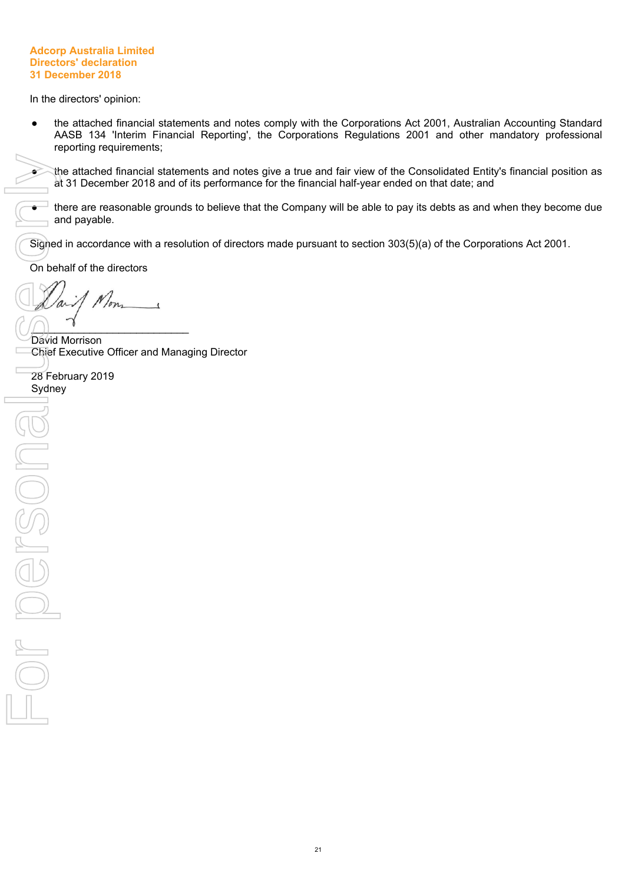#### **Adcorp Australia Limited Directors' declaration 31 December 2018**

<span id="page-23-0"></span>In the directors' opinion:

the attached financial statements and notes comply with the Corporations Act 2001, Australian Accounting Standard AASB 134 'Interim Financial Reporting', the Corporations Regulations 2001 and other mandatory professional reporting requirements;

the attached financial statements and notes give a true and fair view of the Consolidated Entity's financial position as at 31 December 2018 and of its performance for the financial half-year ended on that date; and

there are reasonable grounds to believe that the Company will be able to pay its debts as and when they become due and payable.

Signed in accordance with a resolution of directors made pursuant to section 303(5)(a) of the Corporations Act 2001.

On behalf of the directors

Non

 $\begin{pmatrix} 1 \end{pmatrix}$ David Morrison Chief Executive Officer and Managing Director

28 February 2019 Sydney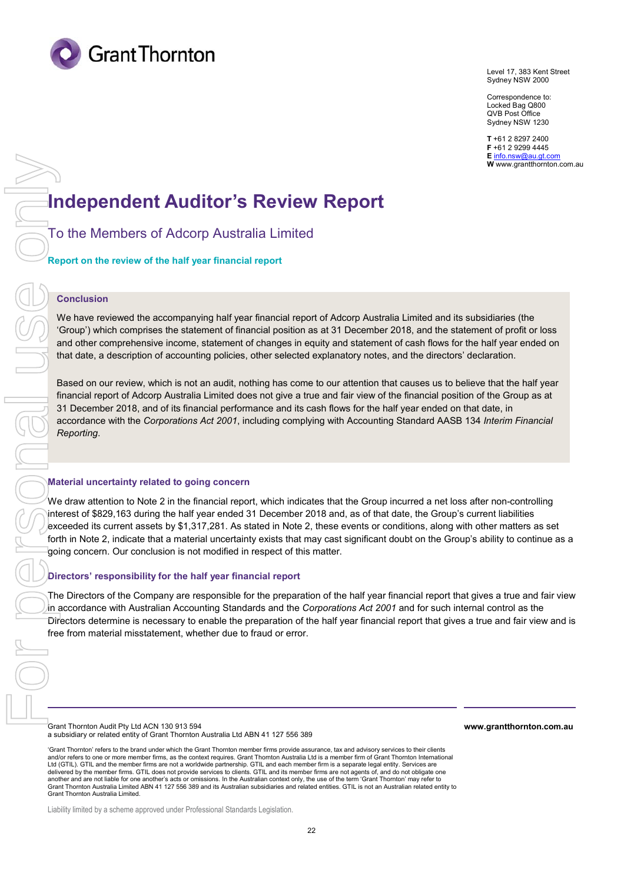

Level 17, 383 Kent Street Sydney NSW 2000

Correspondence to: Locked Bag Q800 QVB Post Office Sydney NSW 1230

**T** +61 2 8297 2400 **F** +61 2 9299 4445 **E** info.nsw@au.gt.com **W** www.grantthornton.com.au

# **Independent Auditor's Review Report**

To the Members of Adcorp Australia Limited

**Report on the review of the half year financial report** 

#### **Conclusion**

We have reviewed the accompanying half year financial report of Adcorp Australia Limited and its subsidiaries (the 'Group') which comprises the statement of financial position as at 31 December 2018, and the statement of profit or loss and other comprehensive income, statement of changes in equity and statement of cash flows for the half year ended on that date, a description of accounting policies, other selected explanatory notes, and the directors' declaration.

Based on our review, which is not an audit, nothing has come to our attention that causes us to believe that the half year financial report of Adcorp Australia Limited does not give a true and fair view of the financial position of the Group as at 31 December 2018, and of its financial performance and its cash flows for the half year ended on that date, in accordance with the *Corporations Act 2001*, including complying with Accounting Standard AASB 134 *Interim Financial Reporting*.

#### **Material uncertainty related to going concern**

We draw attention to Note 2 in the financial report, which indicates that the Group incurred a net loss after non-controlling interest of \$829,163 during the half year ended 31 December 2018 and, as of that date, the Group's current liabilities exceeded its current assets by \$1,317,281. As stated in Note 2, these events or conditions, along with other matters as set forth in Note 2, indicate that a material uncertainty exists that may cast significant doubt on the Group's ability to continue as a going concern. Our conclusion is not modified in respect of this matter.

#### **Directors' responsibility for the half year financial report**

The Directors of the Company are responsible for the preparation of the half year financial report that gives a true and fair view in accordance with Australian Accounting Standards and the *Corporations Act 2001* and for such internal control as the Directors determine is necessary to enable the preparation of the half year financial report that gives a true and fair view and is free from material misstatement, whether due to fraud or error.

Grant Thornton Audit Pty Ltd ACN 130 913 594 a subsidiary or related entity of Grant Thornton Australia Ltd ABN 41 127 556 389 **www.grantthornton.com.au**

'Grant Thornton' refers to the brand under which the Grant Thornton member firms provide assurance, tax and advisory services to their clients and/or refers to one or more member firms, as the context requires. Grant Thornton Australia Ltd is a member firm of Grant Thornton International Ltd (GTIL). GTIL and the member firms are not a worldwide partnership. GTIL and each member firm is a separate legal entity. Services are delivered by the member firms. GTIL does not provide services to clients. GTIL and its member firms are not agents of, and do not obligate one another and are not liable for one another's acts or omissions. In the Australian context only, the use of the term 'Grant Thornton' may refer to<br>Grant Thornton Australia Limited ABN 41 127 556 389 and its Australian subsi Grant Thornton Australia Limited.

Liability limited by a scheme approved under Professional Standards Legislation.